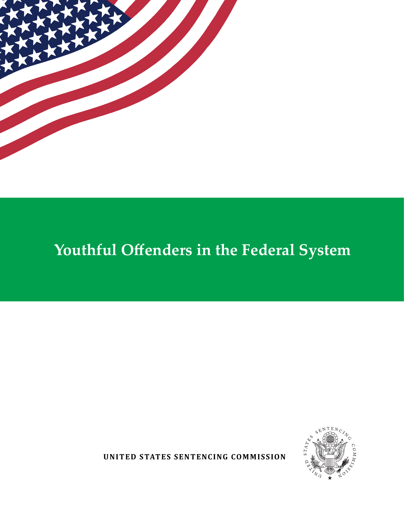

# **Youthful Offenders in the Federal System**



**UNITED STATES SENTENCING COMMISSION**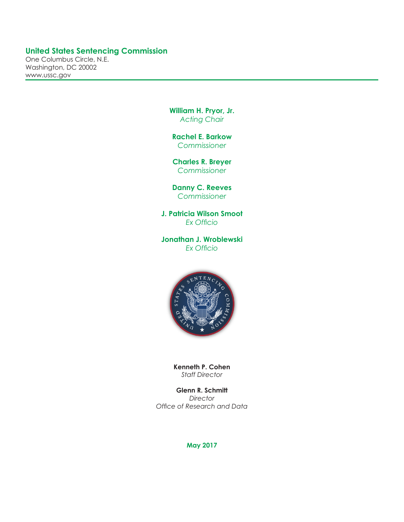## **United States Sentencing Commission**

One Columbus Circle, N.E. Washington, DC 20002 www.ussc.gov

> **William H. Pryor, Jr.**  *Acting Chair*

**Rachel E. Barkow** *Commissioner*

**Charles R. Breyer** *Commissioner*

**Danny C. Reeves** *Commissioner*

**J. Patricia Wilson Smoot** *Ex Officio*

**Jonathan J. Wroblewski** *Ex Officio*



**Kenneth P. Cohen**  *Staff Director*

**Glenn R. Schmitt** *Director Office of Research and Data*

#### **May 2017**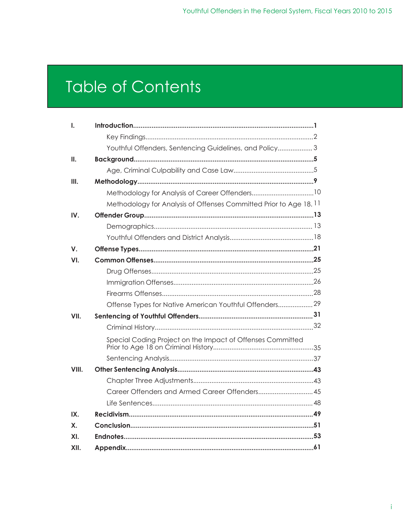# **Table of Contents**

| Ι.    |                                                                   |  |
|-------|-------------------------------------------------------------------|--|
|       |                                                                   |  |
|       | Youthful Offenders, Sentencing Guidelines, and Policy 3           |  |
| Ш.    |                                                                   |  |
|       |                                                                   |  |
| Ш.    |                                                                   |  |
|       |                                                                   |  |
|       | Methodology for Analysis of Offenses Committed Prior to Age 18.11 |  |
| IV.   |                                                                   |  |
|       |                                                                   |  |
|       |                                                                   |  |
| V.    |                                                                   |  |
| VI.   |                                                                   |  |
|       |                                                                   |  |
|       |                                                                   |  |
|       |                                                                   |  |
|       | Offense Types for Native American Youthful Offenders 29           |  |
| VII.  |                                                                   |  |
|       |                                                                   |  |
|       | Special Coding Project on the Impact of Offenses Committed        |  |
|       |                                                                   |  |
| VIII. |                                                                   |  |
|       |                                                                   |  |
|       | Career Offenders and Armed Career Offenders 45                    |  |
|       |                                                                   |  |
| IX.   |                                                                   |  |
| Χ.    |                                                                   |  |
| XI.   |                                                                   |  |
| XII.  |                                                                   |  |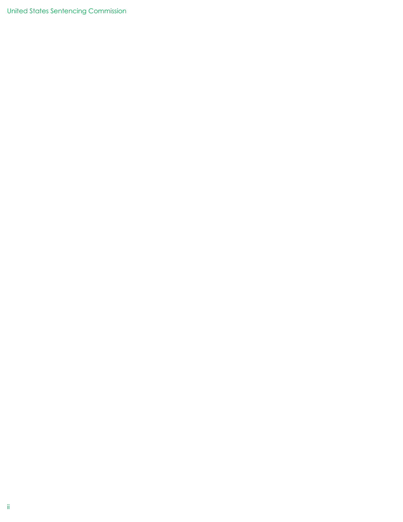United States Sentencing Commission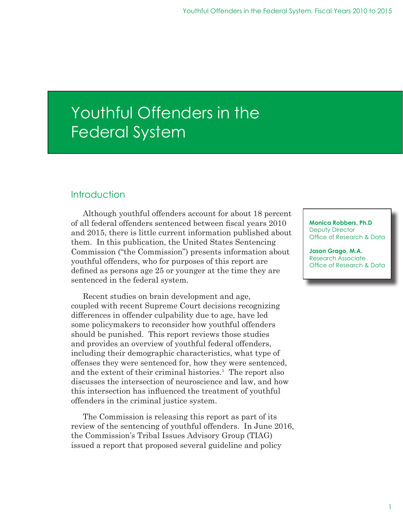# Youthful Offenders in the Federal System

## **Introduction**

Although youthful offenders account for about 18 percent of all federal offenders sentenced between fiscal years 2010 and 2015, there is little current information published about them. In this publication, the United States Sentencing Commission ("the Commission") presents information about youthful offenders, who for purposes of this report are defined as persons age 25 or younger at the time they are sentenced in the federal system.

Recent studies on brain development and age, coupled with recent Supreme Court decisions recognizing differences in offender culpability due to age, have led some policymakers to reconsider how youthful offenders should be punished. This report reviews those studies and provides an overview of youthful federal offenders, including their demographic characteristics, what type of offenses they were sentenced for, how they were sentenced, and the extent of their criminal histories.<sup>1</sup> The report also discusses the intersection of neuroscience and law, and how this intersection has influenced the treatment of youthful offenders in the criminal justice system.

The Commission is releasing this report as part of its review of the sentencing of youthful offenders. In June 2016, the Commission's Tribal Issues Advisory Group (TIAG) issued a report that proposed several guideline and policy

#### **Monica Robbers, Ph.D** Deputy Director Office of Research & Data

**Jason Grago, M.A.** Research Associate Office of Research & Data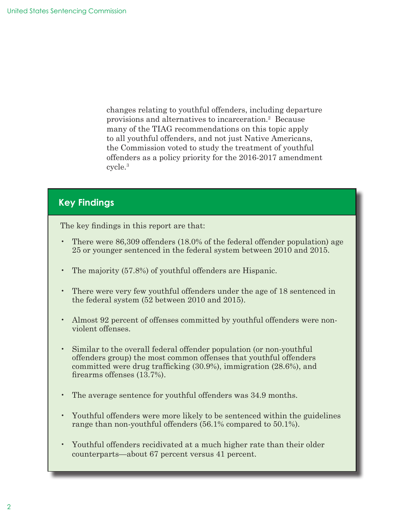changes relating to youthful offenders, including departure provisions and alternatives to incarceration.<sup>2</sup> Because many of the TIAG recommendations on this topic apply to all youthful offenders, and not just Native Americans, the Commission voted to study the treatment of youthful offenders as a policy priority for the 2016-2017 amendment cycle.<sup>3</sup>

# **Key Findings**

The key findings in this report are that:

- There were 86,309 offenders (18.0% of the federal offender population) age 25 or younger sentenced in the federal system between 2010 and 2015.
- The majority (57.8%) of youthful offenders are Hispanic.
- There were very few youthful offenders under the age of 18 sentenced in the federal system (52 between 2010 and 2015).
- Almost 92 percent of offenses committed by youthful offenders were nonviolent offenses.
- Similar to the overall federal offender population (or non-youthful offenders group) the most common offenses that youthful offenders committed were drug trafficking (30.9%), immigration (28.6%), and firearms offenses (13.7%).
- The average sentence for youthful offenders was  $34.9$  months.
- Youthful offenders were more likely to be sentenced within the guidelines range than non-youthful offenders (56.1% compared to 50.1%).
- Youthful offenders recidivated at a much higher rate than their older counterparts—about 67 percent versus 41 percent.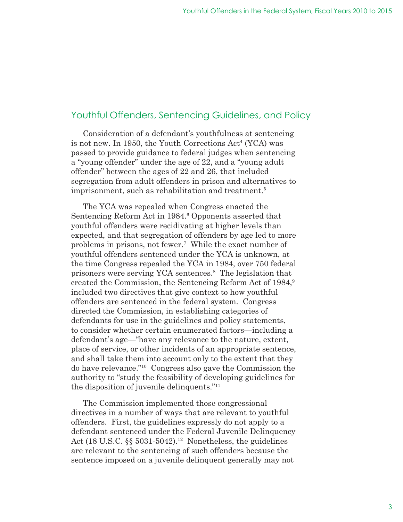## Youthful Offenders, Sentencing Guidelines, and Policy

Consideration of a defendant's youthfulness at sentencing is not new. In 1950, the Youth Corrections Act<sup>4</sup> (YCA) was passed to provide guidance to federal judges when sentencing a "young offender" under the age of 22, and a "young adult offender" between the ages of 22 and 26, that included segregation from adult offenders in prison and alternatives to imprisonment, such as rehabilitation and treatment.<sup>5</sup>

The YCA was repealed when Congress enacted the Sentencing Reform Act in 1984.<sup>6</sup> Opponents asserted that youthful offenders were recidivating at higher levels than expected, and that segregation of offenders by age led to more problems in prisons, not fewer.7 While the exact number of youthful offenders sentenced under the YCA is unknown, at the time Congress repealed the YCA in 1984, over 750 federal prisoners were serving YCA sentences.<sup>8</sup> The legislation that created the Commission, the Sentencing Reform Act of 1984,<sup>9</sup> included two directives that give context to how youthful offenders are sentenced in the federal system. Congress directed the Commission, in establishing categories of defendants for use in the guidelines and policy statements, to consider whether certain enumerated factors—including a defendant's age—"have any relevance to the nature, extent, place of service, or other incidents of an appropriate sentence, and shall take them into account only to the extent that they do have relevance."10 Congress also gave the Commission the authority to "study the feasibility of developing guidelines for the disposition of juvenile delinquents."11

The Commission implemented those congressional directives in a number of ways that are relevant to youthful offenders. First, the guidelines expressly do not apply to a defendant sentenced under the Federal Juvenile Delinquency Act (18 U.S.C.  $\S$  5031-5042).<sup>12</sup> Nonetheless, the guidelines are relevant to the sentencing of such offenders because the sentence imposed on a juvenile delinquent generally may not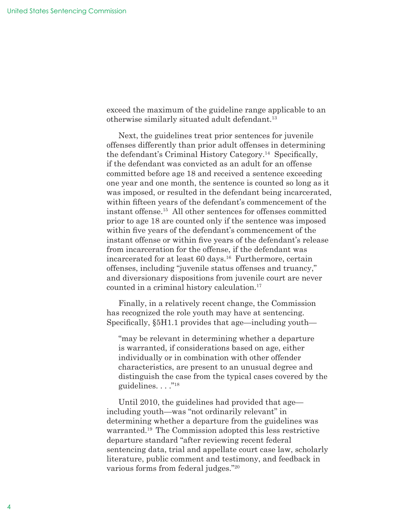exceed the maximum of the guideline range applicable to an otherwise similarly situated adult defendant.<sup>13</sup>

Next, the guidelines treat prior sentences for juvenile offenses differently than prior adult offenses in determining the defendant's Criminal History Category.14 Specifically, if the defendant was convicted as an adult for an offense committed before age 18 and received a sentence exceeding one year and one month, the sentence is counted so long as it was imposed, or resulted in the defendant being incarcerated, within fifteen years of the defendant's commencement of the instant offense.15 All other sentences for offenses committed prior to age 18 are counted only if the sentence was imposed within five years of the defendant's commencement of the instant offense or within five years of the defendant's release from incarceration for the offense, if the defendant was incarcerated for at least 60 days.<sup>16</sup> Furthermore, certain offenses, including "juvenile status offenses and truancy," and diversionary dispositions from juvenile court are never counted in a criminal history calculation.17

Finally, in a relatively recent change, the Commission has recognized the role youth may have at sentencing. Specifically, §5H1.1 provides that age—including youth—

"may be relevant in determining whether a departure is warranted, if considerations based on age, either individually or in combination with other offender characteristics, are present to an unusual degree and distinguish the case from the typical cases covered by the guidelines. . . ."<sup>18</sup>

Until 2010, the guidelines had provided that age including youth—was "not ordinarily relevant" in determining whether a departure from the guidelines was warranted.19 The Commission adopted this less restrictive departure standard "after reviewing recent federal sentencing data, trial and appellate court case law, scholarly literature, public comment and testimony, and feedback in various forms from federal judges."20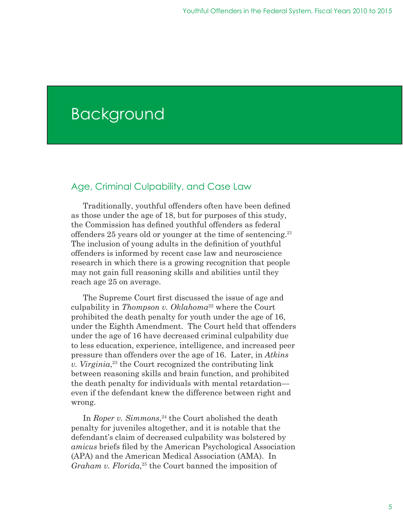# Background

### Age, Criminal Culpability, and Case Law

Traditionally, youthful offenders often have been defined as those under the age of 18, but for purposes of this study, the Commission has defined youthful offenders as federal offenders 25 years old or younger at the time of sentencing.<sup>21</sup> The inclusion of young adults in the definition of youthful offenders is informed by recent case law and neuroscience research in which there is a growing recognition that people may not gain full reasoning skills and abilities until they reach age 25 on average.

The Supreme Court first discussed the issue of age and culpability in *Thompson v. Oklahoma*<sup>22</sup> where the Court prohibited the death penalty for youth under the age of 16, under the Eighth Amendment. The Court held that offenders under the age of 16 have decreased criminal culpability due to less education, experience, intelligence, and increased peer pressure than offenders over the age of 16. Later, in *Atkins v. Virginia*, 23 the Court recognized the contributing link between reasoning skills and brain function, and prohibited the death penalty for individuals with mental retardation even if the defendant knew the difference between right and wrong.

In *Roper v. Simmons*, 24 the Court abolished the death penalty for juveniles altogether, and it is notable that the defendant's claim of decreased culpability was bolstered by *amicus* briefs filed by the American Psychological Association (APA) and the American Medical Association (AMA). In *Graham v. Florida*, 25 the Court banned the imposition of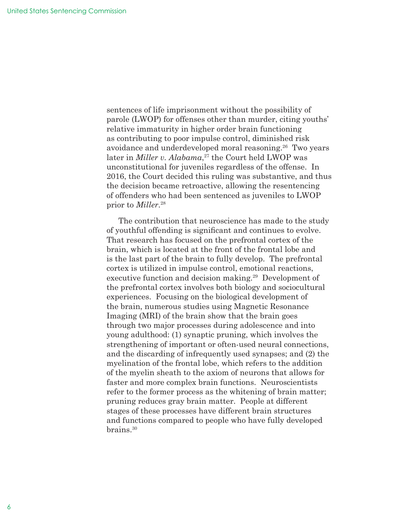sentences of life imprisonment without the possibility of parole (LWOP) for offenses other than murder, citing youths' relative immaturity in higher order brain functioning as contributing to poor impulse control, diminished risk avoidance and underdeveloped moral reasoning.26 Two years later in *Miller v. Alabama*, 27 the Court held LWOP was unconstitutional for juveniles regardless of the offense. In 2016, the Court decided this ruling was substantive, and thus the decision became retroactive, allowing the resentencing of offenders who had been sentenced as juveniles to LWOP prior to *Miller*. 28

The contribution that neuroscience has made to the study of youthful offending is significant and continues to evolve. That research has focused on the prefrontal cortex of the brain, which is located at the front of the frontal lobe and is the last part of the brain to fully develop. The prefrontal cortex is utilized in impulse control, emotional reactions, executive function and decision making.<sup>29</sup> Development of the prefrontal cortex involves both biology and sociocultural experiences. Focusing on the biological development of the brain, numerous studies using Magnetic Resonance Imaging (MRI) of the brain show that the brain goes through two major processes during adolescence and into young adulthood: (1) synaptic pruning, which involves the strengthening of important or often-used neural connections, and the discarding of infrequently used synapses; and (2) the myelination of the frontal lobe, which refers to the addition of the myelin sheath to the axiom of neurons that allows for faster and more complex brain functions. Neuroscientists refer to the former process as the whitening of brain matter; pruning reduces gray brain matter. People at different stages of these processes have different brain structures and functions compared to people who have fully developed brains.30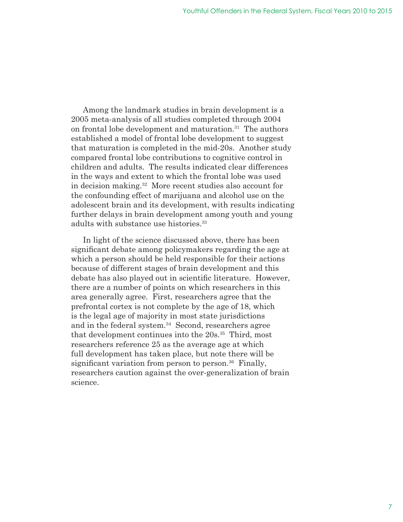Among the landmark studies in brain development is a 2005 meta-analysis of all studies completed through 2004 on frontal lobe development and maturation.<sup>31</sup> The authors established a model of frontal lobe development to suggest that maturation is completed in the mid-20s. Another study compared frontal lobe contributions to cognitive control in children and adults. The results indicated clear differences in the ways and extent to which the frontal lobe was used in decision making.32 More recent studies also account for the confounding effect of marijuana and alcohol use on the adolescent brain and its development, with results indicating further delays in brain development among youth and young adults with substance use histories.33

In light of the science discussed above, there has been significant debate among policymakers regarding the age at which a person should be held responsible for their actions because of different stages of brain development and this debate has also played out in scientific literature. However, there are a number of points on which researchers in this area generally agree. First, researchers agree that the prefrontal cortex is not complete by the age of 18, which is the legal age of majority in most state jurisdictions and in the federal system.<sup>34</sup> Second, researchers agree that development continues into the 20s.35 Third, most researchers reference 25 as the average age at which full development has taken place, but note there will be significant variation from person to person.<sup>36</sup> Finally, researchers caution against the over-generalization of brain science.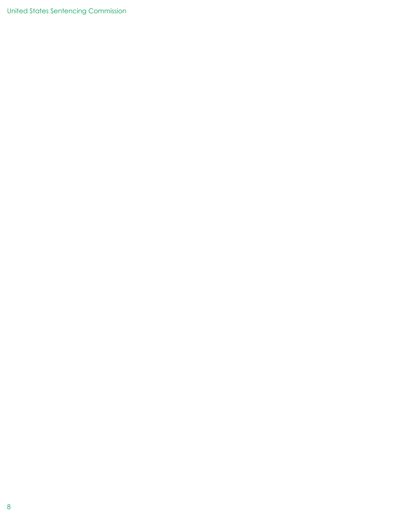United States Sentencing Commission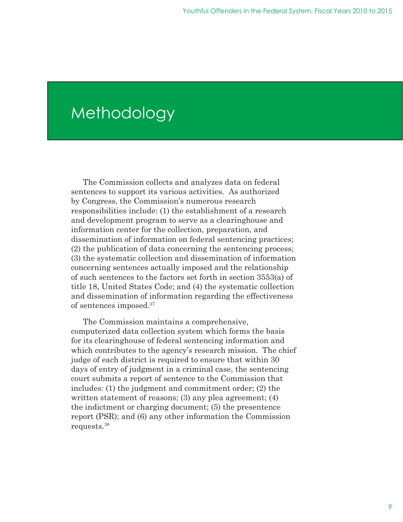# Methodology

The Commission collects and analyzes data on federal sentences to support its various activities. As authorized by Congress, the Commission's numerous research responsibilities include: (1) the establishment of a research and development program to serve as a clearinghouse and information center for the collection, preparation, and dissemination of information on federal sentencing practices; (2) the publication of data concerning the sentencing process; (3) the systematic collection and dissemination of information concerning sentences actually imposed and the relationship of such sentences to the factors set forth in section 3553(a) of title 18, United States Code; and (4) the systematic collection and dissemination of information regarding the effectiveness of sentences imposed.37

The Commission maintains a comprehensive, computerized data collection system which forms the basis for its clearinghouse of federal sentencing information and which contributes to the agency's research mission. The chief judge of each district is required to ensure that within 30 days of entry of judgment in a criminal case, the sentencing court submits a report of sentence to the Commission that includes: (1) the judgment and commitment order; (2) the written statement of reasons; (3) any plea agreement; (4) the indictment or charging document; (5) the presentence report (PSR); and (6) any other information the Commission requests.38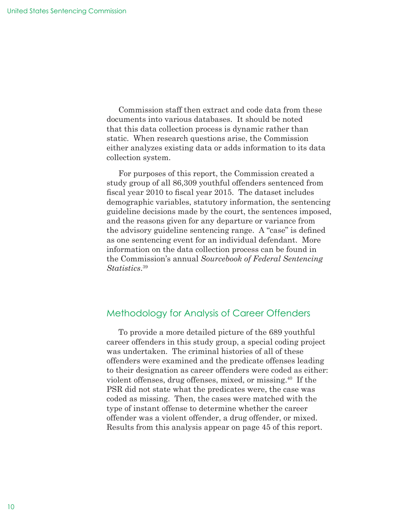Commission staff then extract and code data from these documents into various databases. It should be noted that this data collection process is dynamic rather than static. When research questions arise, the Commission either analyzes existing data or adds information to its data collection system.

For purposes of this report, the Commission created a study group of all 86,309 youthful offenders sentenced from fiscal year 2010 to fiscal year 2015. The dataset includes demographic variables, statutory information, the sentencing guideline decisions made by the court, the sentences imposed, and the reasons given for any departure or variance from the advisory guideline sentencing range. A "case" is defined as one sentencing event for an individual defendant. More information on the data collection process can be found in the Commission's annual *Sourcebook of Federal Sentencing Statistics*. 39

## Methodology for Analysis of Career Offenders

To provide a more detailed picture of the 689 youthful career offenders in this study group, a special coding project was undertaken. The criminal histories of all of these offenders were examined and the predicate offenses leading to their designation as career offenders were coded as either: violent offenses, drug offenses, mixed, or missing.40 If the PSR did not state what the predicates were, the case was coded as missing. Then, the cases were matched with the type of instant offense to determine whether the career offender was a violent offender, a drug offender, or mixed. Results from this analysis appear on page 45 of this report.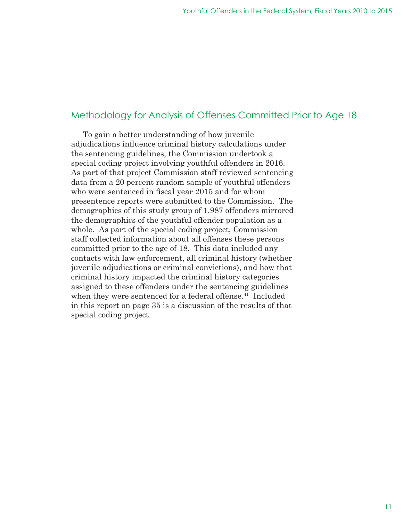# Methodology for Analysis of Offenses Committed Prior to Age 18

To gain a better understanding of how juvenile adjudications influence criminal history calculations under the sentencing guidelines, the Commission undertook a special coding project involving youthful offenders in 2016. As part of that project Commission staff reviewed sentencing data from a 20 percent random sample of youthful offenders who were sentenced in fiscal year 2015 and for whom presentence reports were submitted to the Commission. The demographics of this study group of 1,987 offenders mirrored the demographics of the youthful offender population as a whole. As part of the special coding project, Commission staff collected information about all offenses these persons committed prior to the age of 18. This data included any contacts with law enforcement, all criminal history (whether juvenile adjudications or criminal convictions), and how that criminal history impacted the criminal history categories assigned to these offenders under the sentencing guidelines when they were sentenced for a federal offense.<sup>41</sup> Included in this report on page 35 is a discussion of the results of that special coding project.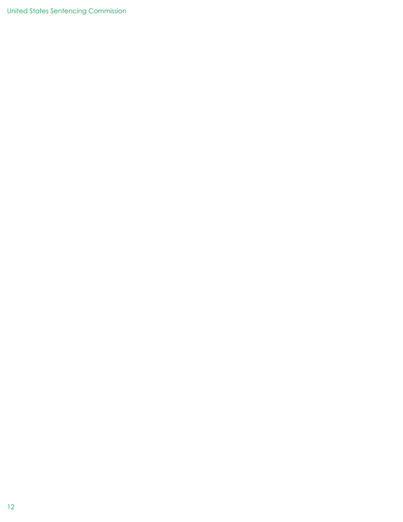United States Sentencing Commission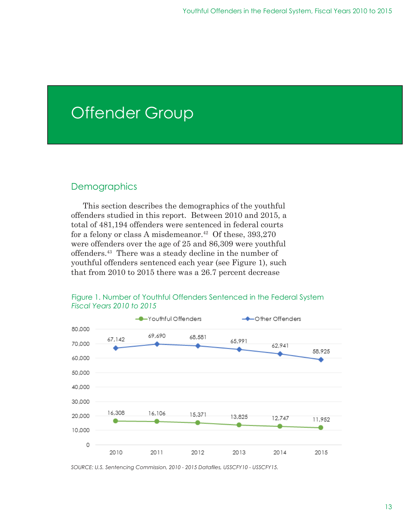# Offender Group

### **Demographics**

This section describes the demographics of the youthful offenders studied in this report. Between 2010 and 2015, a total of 481,194 offenders were sentenced in federal courts for a felony or class A misdemeanor.<sup>42</sup> Of these,  $393,270$ were offenders over the age of 25 and 86,309 were youthful offenders.43 There was a steady decline in the number of youthful offenders sentenced each year (see Figure 1), such that from 2010 to 2015 there was a 26.7 percent decrease



#### Figure 1. Number of Youthful Offenders Sentenced in the Federal System *Fiscal Years 2010 to 2015*

*SOURCE: U.S. Sentencing Commission, 2010 - 2015 Datafiles, USSCFY10 - USSCFY15.*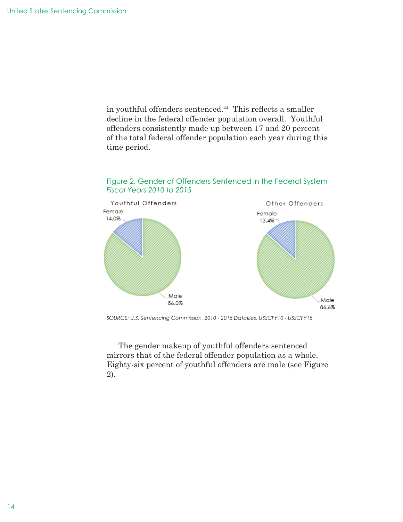in youthful offenders sentenced.<sup>44</sup> This reflects a smaller decline in the federal offender population overall. Youthful offenders consistently made up between 17 and 20 percent of the total federal offender population each year during this time period.



### Figure 2. Gender of Offenders Sentenced in the Federal System *Fiscal Years 2010 to 2015*

*SOURCE: U.S. Sentencing Commission, 2010 - 2015 Datafiles, USSCFY10 - USSCFY15.*

86.6%

The gender makeup of youthful offenders sentenced mirrors that of the federal offender population as a whole. Eighty-six percent of youthful offenders are male (see Figure 2).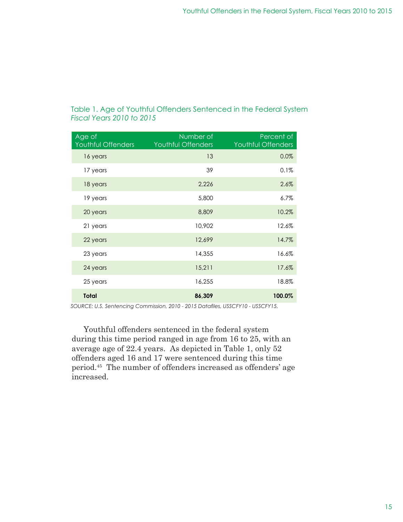| Age of<br>Youthful Offenders | Number of<br>Youthful Offenders | Percent of<br>Youthful Offenders |
|------------------------------|---------------------------------|----------------------------------|
| 16 years                     | 13                              | 0.0%                             |
| 17 years                     | 39                              | 0.1%                             |
| 18 years                     | 2,226                           | 2.6%                             |
| 19 years                     | 5,800                           | $6.7\%$                          |
| 20 years                     | 8,809                           | 10.2%                            |
| 21 years                     | 10,902                          | 12.6%                            |
| 22 years                     | 12,699                          | 14.7%                            |
| 23 years                     | 14,355                          | 16.6%                            |
| 24 years                     | 15,211                          | 17.6%                            |
| 25 years                     | 16,255                          | 18.8%                            |
| <b>Total</b>                 | 86,309                          | 100.0%                           |

### Table 1. Age of Youthful Offenders Sentenced in the Federal System *Fiscal Years 2010 to 2015*

*SOURCE: U.S. Sentencing Commission, 2010 - 2015 Datafiles, USSCFY10 - USSCFY15.*

Youthful offenders sentenced in the federal system during this time period ranged in age from 16 to 25, with an average age of 22.4 years. As depicted in Table 1, only 52 offenders aged 16 and 17 were sentenced during this time period.45 The number of offenders increased as offenders' age increased.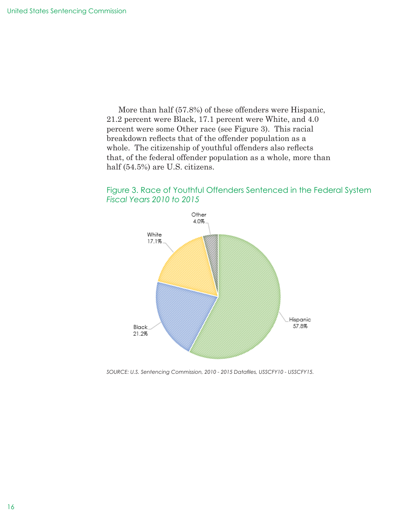More than half (57.8%) of these offenders were Hispanic, 21.2 percent were Black, 17.1 percent were White, and 4.0 percent were some Other race (see Figure 3). This racial breakdown reflects that of the offender population as a whole. The citizenship of youthful offenders also reflects that, of the federal offender population as a whole, more than half (54.5%) are U.S. citizens.





*SOURCE: U.S. Sentencing Commission, 2010 - 2015 Datafiles, USSCFY10 - USSCFY15.*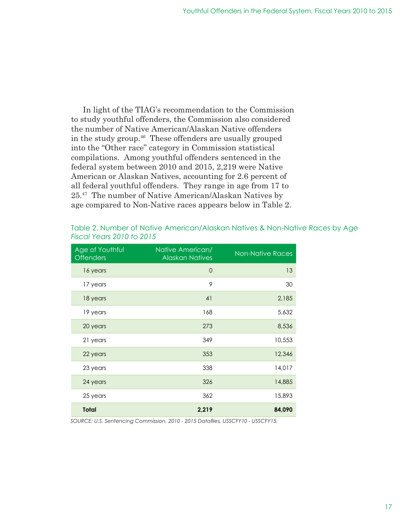In light of the TIAG's recommendation to the Commission to study youthful offenders, the Commission also considered the number of Native American/Alaskan Native offenders in the study group.46 These offenders are usually grouped into the "Other race" category in Commission statistical compilations. Among youthful offenders sentenced in the federal system between 2010 and 2015, 2,219 were Native American or Alaskan Natives, accounting for 2.6 percent of all federal youthful offenders. They range in age from 17 to 25.47 The number of Native American/Alaskan Natives by age compared to Non-Native races appears below in Table 2.

| Age of Youthful<br><b>Offenders</b> | Native American/<br><b>Alaskan Natives</b> | <b>Non-Native Races</b> |
|-------------------------------------|--------------------------------------------|-------------------------|
| 16 years                            | $\mathbf 0$                                | 13                      |
| 17 years                            | 9                                          | 30                      |
| 18 years                            | 41                                         | 2,185                   |
| 19 years                            | 168                                        | 5,632                   |
| 20 years                            | 273                                        | 8,536                   |
| 21 years                            | 349                                        | 10,553                  |
| 22 years                            | 353                                        | 12,346                  |
| 23 years                            | 338                                        | 14,017                  |
| 24 years                            | 326                                        | 14,885                  |
| 25 years                            | 362                                        | 15,893                  |
| <b>Total</b>                        | 2,219                                      | 84,090                  |

Table 2. Number of Native American/Alaskan Natives & Non-Native Races by Age *Fiscal Years 2010 to 2015*

*SOURCE: U.S. Sentencing Commission, 2010 - 2015 Datafiles, USSCFY10 - USSCFY15.*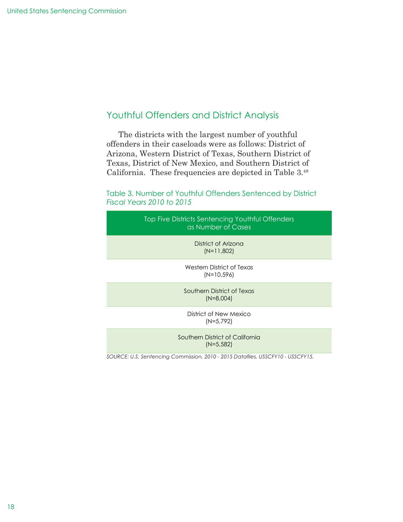## Youthful Offenders and District Analysis

The districts with the largest number of youthful offenders in their caseloads were as follows: District of Arizona, Western District of Texas, Southern District of Texas, District of New Mexico, and Southern District of California. These frequencies are depicted in Table 3.48

#### Table 3. Number of Youthful Offenders Sentenced by District *Fiscal Years 2010 to 2015*



*SOURCE: U.S. Sentencing Commission, 2010 - 2015 Datafiles, USSCFY10 - USSCFY15.*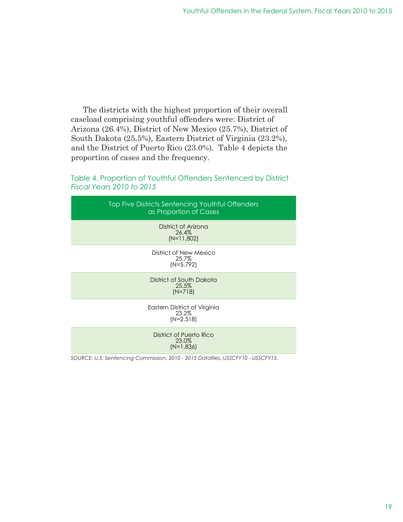The districts with the highest proportion of their overall caseload comprising youthful offenders were: District of Arizona (26.4%), District of New Mexico (25.7%), District of South Dakota (25.5%), Eastern District of Virginia (23.2%), and the District of Puerto Rico (23.0%). Table 4 depicts the proportion of cases and the frequency.

#### Table 4. Proportion of Youthful Offenders Sentenced by District *Fiscal Years 2010 to 2015*



*SOURCE: U.S. Sentencing Commission, 2010 - 2015 Datafiles, USSCFY10 - USSCFY15.*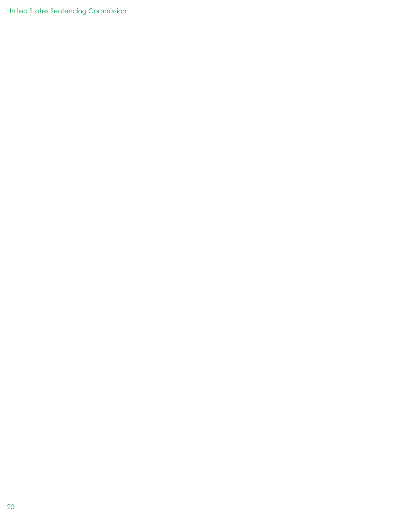United States Sentencing Commission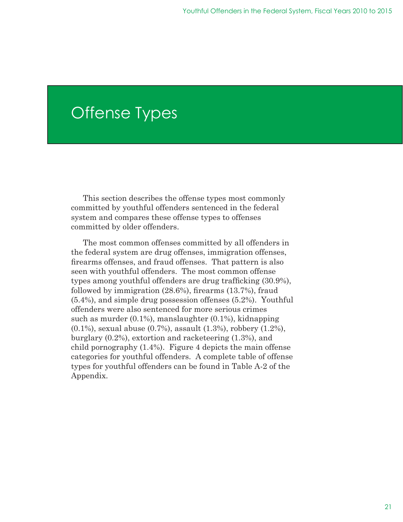# Offense Types

This section describes the offense types most commonly committed by youthful offenders sentenced in the federal system and compares these offense types to offenses committed by older offenders.

The most common offenses committed by all offenders in the federal system are drug offenses, immigration offenses, firearms offenses, and fraud offenses. That pattern is also seen with youthful offenders. The most common offense types among youthful offenders are drug trafficking (30.9%), followed by immigration (28.6%), firearms (13.7%), fraud (5.4%), and simple drug possession offenses (5.2%). Youthful offenders were also sentenced for more serious crimes such as murder (0.1%), manslaughter (0.1%), kidnapping (0.1%), sexual abuse (0.7%), assault (1.3%), robbery (1.2%), burglary (0.2%), extortion and racketeering (1.3%), and child pornography (1.4%). Figure 4 depicts the main offense categories for youthful offenders. A complete table of offense types for youthful offenders can be found in Table A-2 of the Appendix.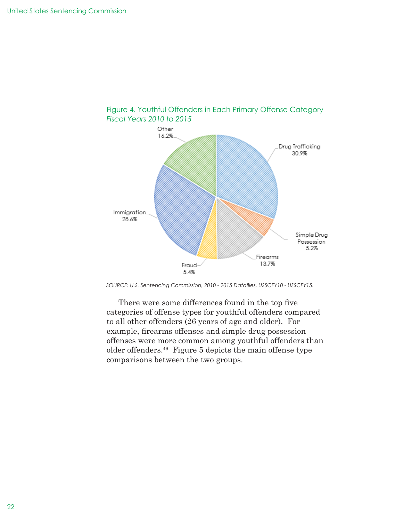

## Figure 4. Youthful Offenders in Each Primary Offense Category *Fiscal Years 2010 to 2015*

*SOURCE: U.S. Sentencing Commission, 2010 - 2015 Datafiles, USSCFY10 - USSCFY15.*

There were some differences found in the top five categories of offense types for youthful offenders compared to all other offenders (26 years of age and older). For example, firearms offenses and simple drug possession offenses were more common among youthful offenders than older offenders.49 Figure 5 depicts the main offense type comparisons between the two groups.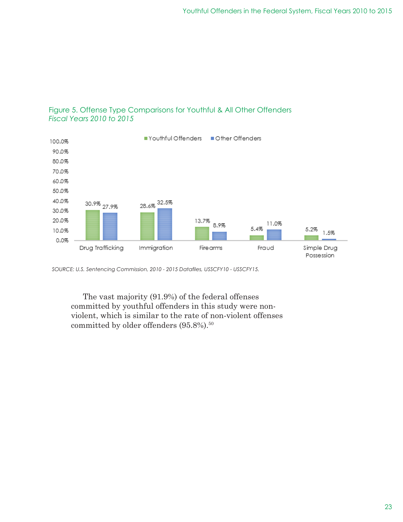

### Figure 5. Offense Type Comparisons for Youthful & All Other Offenders *Fiscal Years 2010 to 2015*

*SOURCE: U.S. Sentencing Commission, 2010 - 2015 Datafiles, USSCFY10 - USSCFY15.*

The vast majority (91.9%) of the federal offenses committed by youthful offenders in this study were nonviolent, which is similar to the rate of non-violent offenses committed by older offenders (95.8%).<sup>50</sup>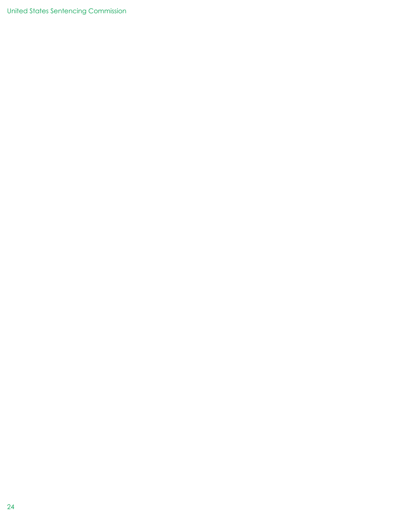United States Sentencing Commission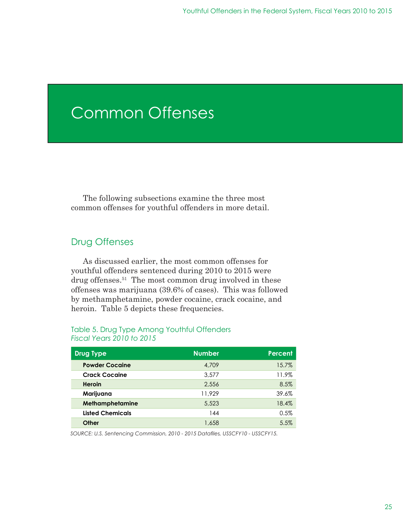# Common Offenses

The following subsections examine the three most common offenses for youthful offenders in more detail.

# Drug Offenses

As discussed earlier, the most common offenses for youthful offenders sentenced during 2010 to 2015 were drug offenses.<sup>51</sup> The most common drug involved in these offenses was marijuana (39.6% of cases). This was followed by methamphetamine, powder cocaine, crack cocaine, and heroin. Table 5 depicts these frequencies.

#### Table 5. Drug Type Among Youthful Offenders *Fiscal Years 2010 to 2015*

| <b>Drug Type</b>        | <b>Number</b> | Percent |
|-------------------------|---------------|---------|
| <b>Powder Cocaine</b>   | 4,709         | 15.7%   |
| <b>Crack Cocaine</b>    | 3.577         | 11.9%   |
| <b>Heroin</b>           | 2.556         | 8.5%    |
| Marijuana               | 11.929        | 39.6%   |
| Methamphetamine         | 5.523         | 18.4%   |
| <b>Listed Chemicals</b> | 144           | 0.5%    |
| Other                   | 1,658         | 5.5%    |

*SOURCE: U.S. Sentencing Commission, 2010 - 2015 Datafiles, USSCFY10 - USSCFY15.*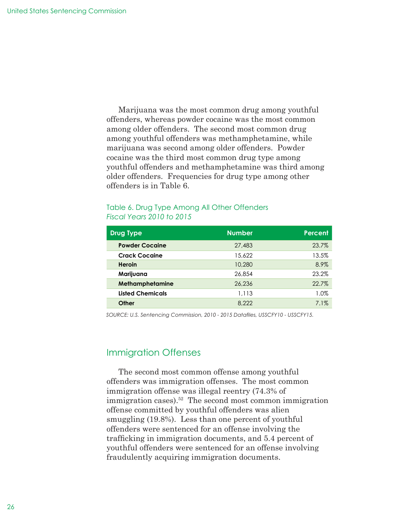Marijuana was the most common drug among youthful offenders, whereas powder cocaine was the most common among older offenders. The second most common drug among youthful offenders was methamphetamine, while marijuana was second among older offenders. Powder cocaine was the third most common drug type among youthful offenders and methamphetamine was third among older offenders. Frequencies for drug type among other offenders is in Table 6.

#### Table 6. Drug Type Among All Other Offenders *Fiscal Years 2010 to 2015*

| <b>Drug Type</b>        | <b>Number</b> | Percent |
|-------------------------|---------------|---------|
| <b>Powder Cocaine</b>   | 27,483        | 23.7%   |
| <b>Crack Cocaine</b>    | 15,622        | 13.5%   |
| <b>Heroin</b>           | 10,280        | 8.9%    |
| Marijuana               | 26,854        | 23.2%   |
| Methamphetamine         | 26,236        | 22.7%   |
| <b>Listed Chemicals</b> | 1,113         | 1.0%    |
| Other                   | 8,222         | 7.1%    |

*SOURCE: U.S. Sentencing Commission, 2010 - 2015 Datafiles, USSCFY10 - USSCFY15.*

## Immigration Offenses

The second most common offense among youthful offenders was immigration offenses. The most common immigration offense was illegal reentry (74.3% of immigration cases).<sup>52</sup> The second most common immigration offense committed by youthful offenders was alien smuggling (19.8%). Less than one percent of youthful offenders were sentenced for an offense involving the trafficking in immigration documents, and 5.4 percent of youthful offenders were sentenced for an offense involving fraudulently acquiring immigration documents.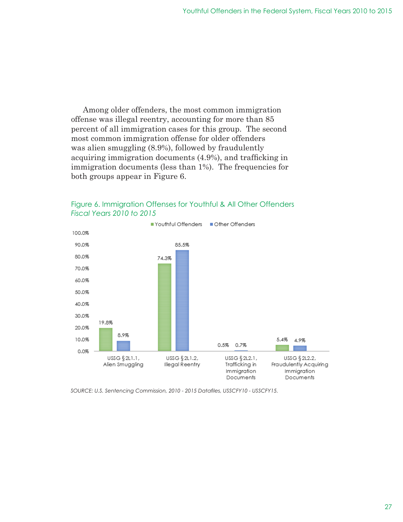Among older offenders, the most common immigration offense was illegal reentry, accounting for more than 85 percent of all immigration cases for this group. The second most common immigration offense for older offenders was alien smuggling (8.9%), followed by fraudulently acquiring immigration documents (4.9%), and trafficking in immigration documents (less than 1%). The frequencies for both groups appear in Figure 6.



### Figure 6. Immigration Offenses for Youthful & All Other Offenders *Fiscal Years 2010 to 2015*

*SOURCE: U.S. Sentencing Commission, 2010 - 2015 Datafiles, USSCFY10 - USSCFY15.*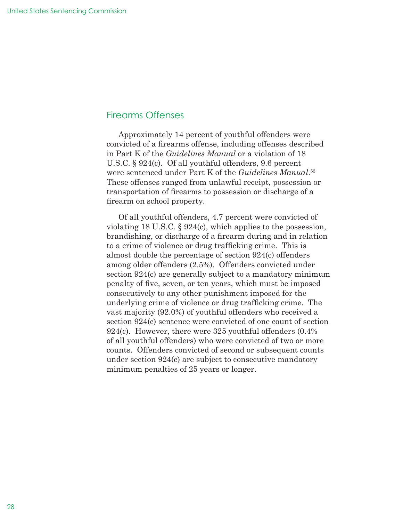### Firearms Offenses

Approximately 14 percent of youthful offenders were convicted of a firearms offense, including offenses described in Part K of the *Guidelines Manual* or a violation of 18 U.S.C. § 924(c). Of all youthful offenders, 9.6 percent were sentenced under Part K of the *Guidelines Manual*. 53 These offenses ranged from unlawful receipt, possession or transportation of firearms to possession or discharge of a firearm on school property.

Of all youthful offenders, 4.7 percent were convicted of violating 18 U.S.C. § 924(c), which applies to the possession, brandishing, or discharge of a firearm during and in relation to a crime of violence or drug trafficking crime. This is almost double the percentage of section 924(c) offenders among older offenders (2.5%). Offenders convicted under section 924(c) are generally subject to a mandatory minimum penalty of five, seven, or ten years, which must be imposed consecutively to any other punishment imposed for the underlying crime of violence or drug trafficking crime. The vast majority (92.0%) of youthful offenders who received a section 924(c) sentence were convicted of one count of section 924(c). However, there were 325 youthful offenders (0.4% of all youthful offenders) who were convicted of two or more counts. Offenders convicted of second or subsequent counts under section 924(c) are subject to consecutive mandatory minimum penalties of 25 years or longer.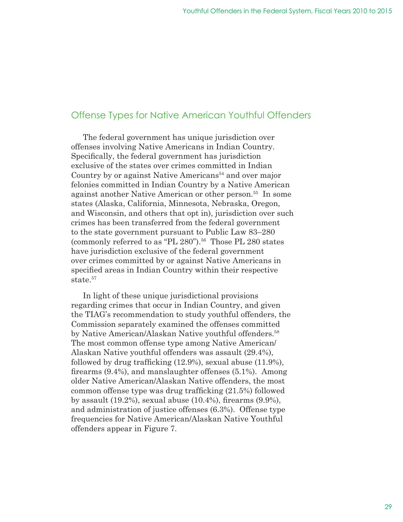## Offense Types for Native American Youthful Offenders

The federal government has unique jurisdiction over offenses involving Native Americans in Indian Country. Specifically, the federal government has jurisdiction exclusive of the states over crimes committed in Indian Country by or against Native Americans<sup>54</sup> and over major felonies committed in Indian Country by a Native American against another Native American or other person.55 In some states (Alaska, California, Minnesota, Nebraska, Oregon, and Wisconsin, and others that opt in), jurisdiction over such crimes has been transferred from the federal government to the state government pursuant to Public Law 83–280 (commonly referred to as "PL  $280$ ").<sup>56</sup> Those PL  $280$  states have jurisdiction exclusive of the federal government over crimes committed by or against Native Americans in specified areas in Indian Country within their respective state.<sup>57</sup>

In light of these unique jurisdictional provisions regarding crimes that occur in Indian Country, and given the TIAG's recommendation to study youthful offenders, the Commission separately examined the offenses committed by Native American/Alaskan Native youthful offenders.<sup>58</sup> The most common offense type among Native American Alaskan Native youthful offenders was assault (29.4%), followed by drug trafficking (12.9%), sexual abuse (11.9%), firearms (9.4%), and manslaughter offenses (5.1%). Among older Native American/Alaskan Native offenders, the most common offense type was drug trafficking (21.5%) followed by assault (19.2%), sexual abuse (10.4%), firearms (9.9%), and administration of justice offenses (6.3%). Offense type frequencies for Native American/Alaskan Native Youthful offenders appear in Figure 7.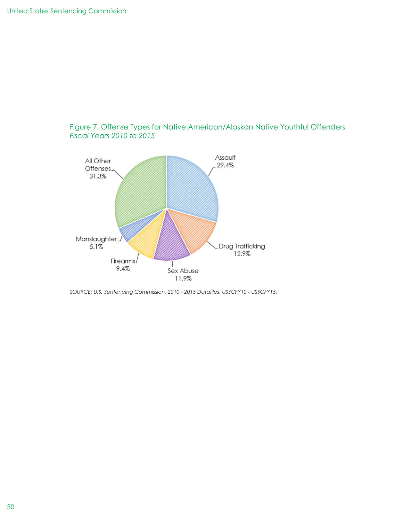

Figure 7. Offense Types for Native American/Alaskan Native Youthful Offenders *Fiscal Years 2010 to 2015*

*SOURCE: U.S. Sentencing Commission, 2010 - 2015 Datafiles, USSCFY10 - USSCFY15.*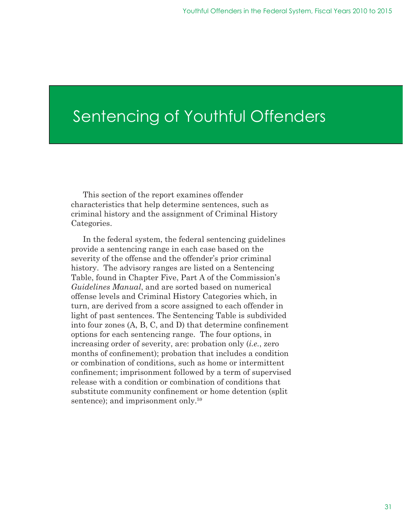# Sentencing of Youthful Offenders

This section of the report examines offender characteristics that help determine sentences, such as criminal history and the assignment of Criminal History Categories.

In the federal system, the federal sentencing guidelines provide a sentencing range in each case based on the severity of the offense and the offender's prior criminal history. The advisory ranges are listed on a Sentencing Table, found in Chapter Five, Part A of the Commission's *Guidelines Manual*, and are sorted based on numerical offense levels and Criminal History Categories which, in turn, are derived from a score assigned to each offender in light of past sentences. The Sentencing Table is subdivided into four zones (A, B, C, and D) that determine confinement options for each sentencing range. The four options, in increasing order of severity, are: probation only (*i.e.*, zero months of confinement); probation that includes a condition or combination of conditions, such as home or intermittent confinement; imprisonment followed by a term of supervised release with a condition or combination of conditions that substitute community confinement or home detention (split sentence); and imprisonment only.<sup>59</sup>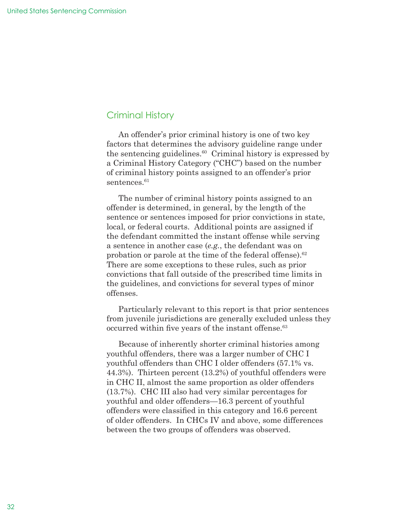### Criminal History

An offender's prior criminal history is one of two key factors that determines the advisory guideline range under the sentencing guidelines. $60$  Criminal history is expressed by a Criminal History Category ("CHC") based on the number of criminal history points assigned to an offender's prior sentences.<sup>61</sup>

The number of criminal history points assigned to an offender is determined, in general, by the length of the sentence or sentences imposed for prior convictions in state, local, or federal courts. Additional points are assigned if the defendant committed the instant offense while serving a sentence in another case (*e.g.*, the defendant was on probation or parole at the time of the federal offense).62 There are some exceptions to these rules, such as prior convictions that fall outside of the prescribed time limits in the guidelines, and convictions for several types of minor offenses.

Particularly relevant to this report is that prior sentences from juvenile jurisdictions are generally excluded unless they occurred within five years of the instant offense.<sup>63</sup>

Because of inherently shorter criminal histories among youthful offenders, there was a larger number of CHC I youthful offenders than CHC I older offenders (57.1% vs. 44.3%). Thirteen percent (13.2%) of youthful offenders were in CHC II, almost the same proportion as older offenders (13.7%). CHC III also had very similar percentages for youthful and older offenders—16.3 percent of youthful offenders were classified in this category and 16.6 percent of older offenders. In CHCs IV and above, some differences between the two groups of offenders was observed.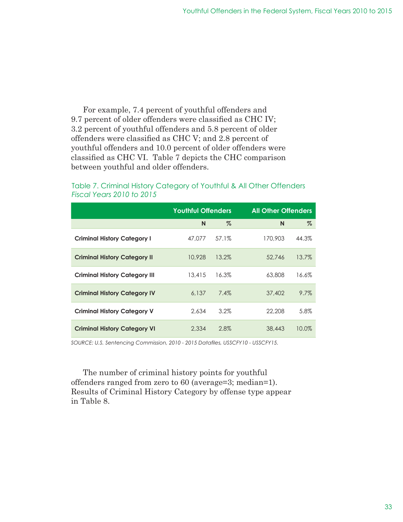For example, 7.4 percent of youthful offenders and 9.7 percent of older offenders were classified as CHC IV; 3.2 percent of youthful offenders and 5.8 percent of older offenders were classified as CHC V; and 2.8 percent of youthful offenders and 10.0 percent of older offenders were classified as CHC VI. Table 7 depicts the CHC comparison between youthful and older offenders.

|                                      | <b>Youthful Offenders</b> |       | <b>All Other Offenders</b> |          |
|--------------------------------------|---------------------------|-------|----------------------------|----------|
|                                      | N                         | $\%$  | N                          | $\%$     |
| <b>Criminal History Category I</b>   | 47,077                    | 57.1% | 170,903                    | 44.3%    |
| <b>Criminal History Category II</b>  | 10.928                    | 13.2% | 52,746                     | $13.7\%$ |
| <b>Criminal History Category III</b> | 13,415                    | 16.3% | 63,808                     | 16.6%    |
| <b>Criminal History Category IV</b>  | 6.137                     | 7.4%  | 37,402                     | 9.7%     |
| <b>Criminal History Category V</b>   | 2.634                     | 3.2%  | 22,208                     | 5.8%     |
| <b>Criminal History Category VI</b>  | 2.334                     | 2.8%  | 38,443                     | 10.0%    |

#### Table 7. Criminal History Category of Youthful & All Other Offenders *Fiscal Years 2010 to 2015*

*SOURCE: U.S. Sentencing Commission, 2010 - 2015 Datafiles, USSCFY10 - USSCFY15.*

The number of criminal history points for youthful offenders ranged from zero to 60 (average=3; median=1). Results of Criminal History Category by offense type appear in Table 8.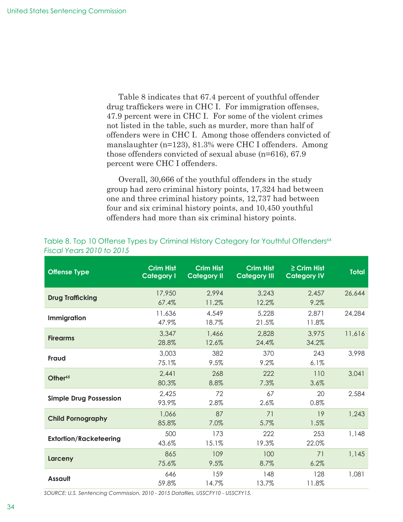Table 8 indicates that 67.4 percent of youthful offender drug traffickers were in CHC I. For immigration offenses, 47.9 percent were in CHC I. For some of the violent crimes not listed in the table, such as murder, more than half of offenders were in CHC I. Among those offenders convicted of manslaughter (n=123), 81.3% were CHC I offenders. Among those offenders convicted of sexual abuse (n=616), 67.9 percent were CHC I offenders.

Overall, 30,666 of the youthful offenders in the study group had zero criminal history points, 17,324 had between one and three criminal history points, 12,737 had between four and six criminal history points, and 10,450 youthful offenders had more than six criminal history points.

| <b>Offense Type</b>           | <b>Crim Hist</b><br><b>Category I</b> | <b>Crim Hist</b><br><b>Category II</b> | <b>Crim Hist</b><br><b>Category III</b> | $\geq$ Crim Hist<br><b>Category IV</b> | <b>Total</b> |
|-------------------------------|---------------------------------------|----------------------------------------|-----------------------------------------|----------------------------------------|--------------|
| <b>Drug Trafficking</b>       | 17,950<br>67.4%                       | 2,994<br>11.2%                         | 3,243<br>12.2%                          | 2,457<br>9.2%                          | 26,644       |
| <b>Immigration</b>            | 11,636<br>47.9%                       | 4,549<br>18.7%                         | 5,228<br>21.5%                          | 2,871<br>11.8%                         | 24,284       |
| <b>Firearms</b>               | 3,347<br>28.8%                        | 1,466<br>12.6%                         | 2,828<br>24.4%                          | 3,975<br>34.2%                         | 11,616       |
| <b>Fraud</b>                  | 3,003<br>75.1%                        | 382<br>9.5%                            | 370<br>9.2%                             | 243<br>6.1%                            | 3,998        |
| Other <sup>65</sup>           | 2,441<br>80.3%                        | 268<br>8.8%                            | 222<br>7.3%                             | 110<br>3.6%                            | 3,041        |
| <b>Simple Drug Possession</b> | 2,425<br>93.9%                        | 72<br>2.8%                             | 67<br>2.6%                              | 20<br>0.8%                             | 2,584        |
| <b>Child Pornography</b>      | 1,066<br>85.8%                        | 87<br>7.0%                             | 71<br>5.7%                              | 19<br>1.5%                             | 1,243        |
| <b>Extortion/Racketeering</b> | 500<br>43.6%                          | 173<br>15.1%                           | 222<br>19.3%                            | 253<br>22.0%                           | 1,148        |
| Larceny                       | 865<br>75.6%                          | 109<br>9.5%                            | 100<br>8.7%                             | 71<br>6.2%                             | 1,145        |
| Assault                       | 646<br>59.8%                          | 159<br>14.7%                           | 148<br>13.7%                            | 128<br>11.8%                           | 1,081        |

Table 8. Top 10 Offense Types by Criminal History Category for Youthful Offenders<sup>64</sup> *Fiscal Years 2010 to 2015*

*SOURCE: U.S. Sentencing Commission, 2010 - 2015 Datafiles, USSCFY10 - USSCFY15.*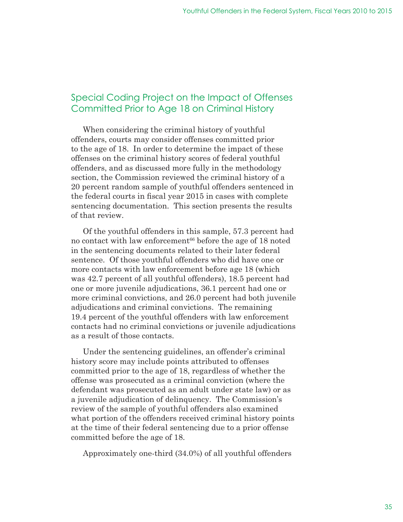## Special Coding Project on the Impact of Offenses Committed Prior to Age 18 on Criminal History

When considering the criminal history of youthful offenders, courts may consider offenses committed prior to the age of 18. In order to determine the impact of these offenses on the criminal history scores of federal youthful offenders, and as discussed more fully in the methodology section, the Commission reviewed the criminal history of a 20 percent random sample of youthful offenders sentenced in the federal courts in fiscal year 2015 in cases with complete sentencing documentation. This section presents the results of that review.

Of the youthful offenders in this sample, 57.3 percent had no contact with law enforcement<sup>66</sup> before the age of 18 noted in the sentencing documents related to their later federal sentence. Of those youthful offenders who did have one or more contacts with law enforcement before age 18 (which was 42.7 percent of all youthful offenders), 18.5 percent had one or more juvenile adjudications, 36.1 percent had one or more criminal convictions, and 26.0 percent had both juvenile adjudications and criminal convictions. The remaining 19.4 percent of the youthful offenders with law enforcement contacts had no criminal convictions or juvenile adjudications as a result of those contacts.

Under the sentencing guidelines, an offender's criminal history score may include points attributed to offenses committed prior to the age of 18, regardless of whether the offense was prosecuted as a criminal conviction (where the defendant was prosecuted as an adult under state law) or as a juvenile adjudication of delinquency. The Commission's review of the sample of youthful offenders also examined what portion of the offenders received criminal history points at the time of their federal sentencing due to a prior offense committed before the age of 18.

Approximately one-third (34.0%) of all youthful offenders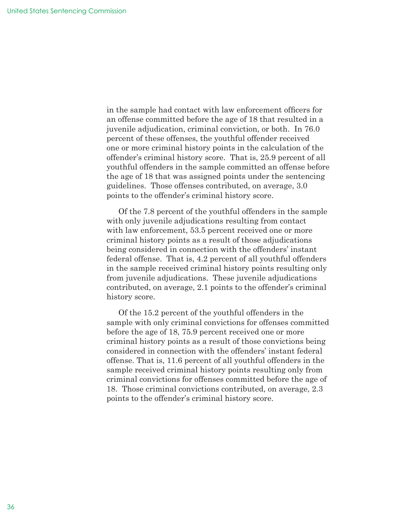in the sample had contact with law enforcement officers for an offense committed before the age of 18 that resulted in a juvenile adjudication, criminal conviction, or both. In 76.0 percent of these offenses, the youthful offender received one or more criminal history points in the calculation of the offender's criminal history score. That is, 25.9 percent of all youthful offenders in the sample committed an offense before the age of 18 that was assigned points under the sentencing guidelines. Those offenses contributed, on average, 3.0 points to the offender's criminal history score.

Of the 7.8 percent of the youthful offenders in the sample with only juvenile adjudications resulting from contact with law enforcement, 53.5 percent received one or more criminal history points as a result of those adjudications being considered in connection with the offenders' instant federal offense. That is, 4.2 percent of all youthful offenders in the sample received criminal history points resulting only from juvenile adjudications. These juvenile adjudications contributed, on average, 2.1 points to the offender's criminal history score.

Of the 15.2 percent of the youthful offenders in the sample with only criminal convictions for offenses committed before the age of 18, 75.9 percent received one or more criminal history points as a result of those convictions being considered in connection with the offenders' instant federal offense. That is, 11.6 percent of all youthful offenders in the sample received criminal history points resulting only from criminal convictions for offenses committed before the age of 18. Those criminal convictions contributed, on average, 2.3 points to the offender's criminal history score.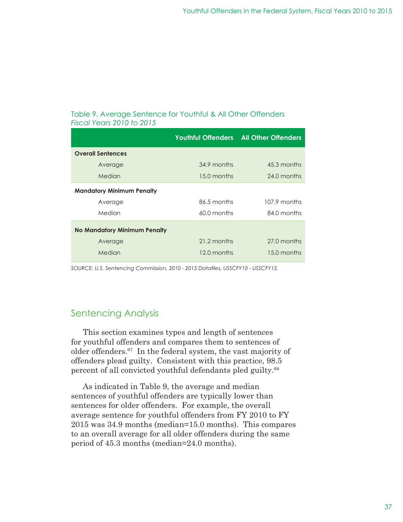| <b>Fiscal Years 2010 to 2015</b>    |             |                                               |
|-------------------------------------|-------------|-----------------------------------------------|
|                                     |             | <b>Youthful Offenders All Other Offenders</b> |
| <b>Overall Sentences</b>            |             |                                               |
| Average                             | 34.9 months | 45.3 months                                   |
| Median                              | 15.0 months | 24.0 months                                   |
| <b>Mandatory Minimum Penalty</b>    |             |                                               |
| Average                             | 86.5 months | 107.9 months                                  |
| Median                              | 60.0 months | 84.0 months                                   |
| <b>No Mandatory Minimum Penalty</b> |             |                                               |
| Average                             | 21.2 months | 27.0 months                                   |
| Median                              | 12.0 months | 15.0 months                                   |
|                                     |             |                                               |

# Table 9. Average Sentence for Youthful & All Other Offenders

*SOURCE: U.S. Sentencing Commission, 2010 - 2015 Datafiles, USSCFY10 - USSCFY15.*

# Sentencing Analysis

This section examines types and length of sentences for youthful offenders and compares them to sentences of older offenders.67 In the federal system, the vast majority of offenders plead guilty. Consistent with this practice, 98.5 percent of all convicted youthful defendants pled guilty.68

As indicated in Table 9, the average and median sentences of youthful offenders are typically lower than sentences for older offenders. For example, the overall average sentence for youthful offenders from FY 2010 to FY 2015 was 34.9 months (median=15.0 months). This compares to an overall average for all older offenders during the same period of 45.3 months (median=24.0 months).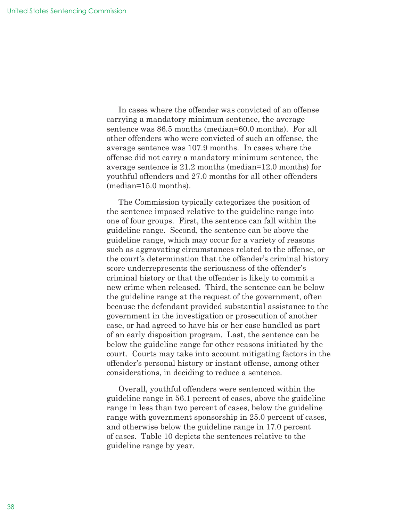In cases where the offender was convicted of an offense carrying a mandatory minimum sentence, the average sentence was 86.5 months (median=60.0 months). For all other offenders who were convicted of such an offense, the average sentence was 107.9 months. In cases where the offense did not carry a mandatory minimum sentence, the average sentence is 21.2 months (median=12.0 months) for youthful offenders and 27.0 months for all other offenders (median=15.0 months).

The Commission typically categorizes the position of the sentence imposed relative to the guideline range into one of four groups. First, the sentence can fall within the guideline range. Second, the sentence can be above the guideline range, which may occur for a variety of reasons such as aggravating circumstances related to the offense, or the court's determination that the offender's criminal history score underrepresents the seriousness of the offender's criminal history or that the offender is likely to commit a new crime when released. Third, the sentence can be below the guideline range at the request of the government, often because the defendant provided substantial assistance to the government in the investigation or prosecution of another case, or had agreed to have his or her case handled as part of an early disposition program. Last, the sentence can be below the guideline range for other reasons initiated by the court. Courts may take into account mitigating factors in the offender's personal history or instant offense, among other considerations, in deciding to reduce a sentence.

Overall, youthful offenders were sentenced within the guideline range in 56.1 percent of cases, above the guideline range in less than two percent of cases, below the guideline range with government sponsorship in 25.0 percent of cases, and otherwise below the guideline range in 17.0 percent of cases. Table 10 depicts the sentences relative to the guideline range by year.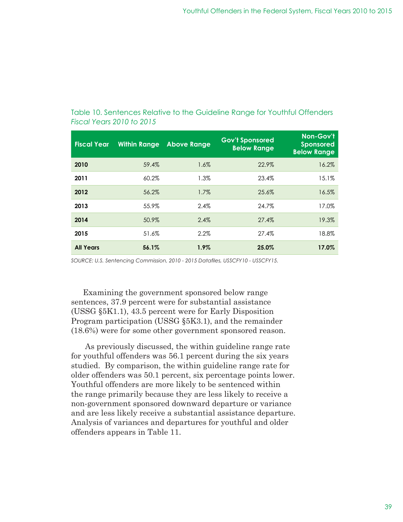| <b>Fiscal Year</b> | <b>Within Range</b> | <b>Above Range</b> | <b>Gov't Sponsored</b><br><b>Below Range</b> | Non-Gov't<br><b>Sponsored</b><br><b>Below Range</b> |
|--------------------|---------------------|--------------------|----------------------------------------------|-----------------------------------------------------|
| 2010               | 59.4%               | $1.6\%$            | 22.9%                                        | 16.2%                                               |
| 2011               | 60.2%               | 1.3%               | 23.4%                                        | 15.1%                                               |
| 2012               | 56.2%               | $1.7\%$            | 25.6%                                        | 16.5%                                               |
| 2013               | 55.9%               | $2.4\%$            | 24.7%                                        | 17.0%                                               |
| 2014               | 50.9%               | $2.4\%$            | 27.4%                                        | 19.3%                                               |
| 2015               | 51.6%               | 2.2%               | 27.4%                                        | 18.8%                                               |
| <b>All Years</b>   | 56.1%               | 1.9%               | 25.0%                                        | 17.0%                                               |

Table 10. Sentences Relative to the Guideline Range for Youthful Offenders *Fiscal Years 2010 to 2015*

*SOURCE: U.S. Sentencing Commission, 2010 - 2015 Datafiles, USSCFY10 - USSCFY15.*

Examining the government sponsored below range sentences, 37.9 percent were for substantial assistance (USSG §5K1.1), 43.5 percent were for Early Disposition Program participation (USSG §5K3.1), and the remainder (18.6%) were for some other government sponsored reason.

 As previously discussed, the within guideline range rate for youthful offenders was 56.1 percent during the six years studied. By comparison, the within guideline range rate for older offenders was 50.1 percent, six percentage points lower. Youthful offenders are more likely to be sentenced within the range primarily because they are less likely to receive a non-government sponsored downward departure or variance and are less likely receive a substantial assistance departure. Analysis of variances and departures for youthful and older offenders appears in Table 11.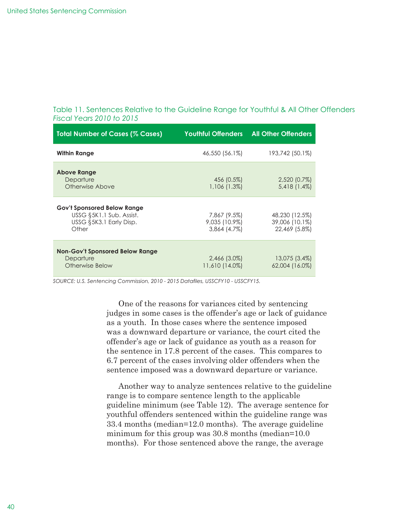Table 11. Sentences Relative to the Guideline Range for Youthful & All Other Offenders *Fiscal Years 2010 to 2015* 

| <b>Total Number of Cases (% Cases)</b>                                                             | <b>Youthful Offenders</b>                       | <b>All Other Offenders</b>                        |
|----------------------------------------------------------------------------------------------------|-------------------------------------------------|---------------------------------------------------|
| <b>Within Range</b>                                                                                | 46,550 (56.1%)                                  | 193,742 (50.1%)                                   |
| <b>Above Range</b><br>Departure<br>Otherwise Above                                                 | 456 (0.5%)<br>1,106(1.3%)                       | $2,520(0.7\%)$<br>$5,418(1.4\%)$                  |
| <b>Gov't Sponsored Below Range</b><br>USSG §5K1.1 Sub. Assist.<br>USSG §5K3.1 Early Disp.<br>Other | 7,867 (9.5%)<br>9,035 (10.9%)<br>$3,864$ (4.7%) | 48,230 (12.5%)<br>39,006 (10.1%)<br>22,469 (5.8%) |
| <b>Non-Gov't Sponsored Below Range</b><br>Departure<br>Otherwise Below                             | $2,466$ (3.0%)<br>11,610 (14.0%)                | $13,075(3.4\%)$<br>62,004 (16.0%)                 |

*SOURCE: U.S. Sentencing Commission, 2010 - 2015 Datafiles, USSCFY10 - USSCFY15.*

One of the reasons for variances cited by sentencing judges in some cases is the offender's age or lack of guidance as a youth. In those cases where the sentence imposed was a downward departure or variance, the court cited the offender's age or lack of guidance as youth as a reason for the sentence in 17.8 percent of the cases. This compares to 6.7 percent of the cases involving older offenders when the sentence imposed was a downward departure or variance.

Another way to analyze sentences relative to the guideline range is to compare sentence length to the applicable guideline minimum (see Table 12). The average sentence for youthful offenders sentenced within the guideline range was 33.4 months (median=12.0 months). The average guideline minimum for this group was 30.8 months (median=10.0) months). For those sentenced above the range, the average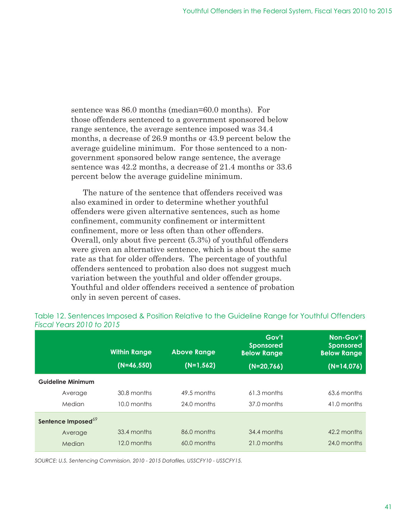sentence was 86.0 months (median=60.0 months). For those offenders sentenced to a government sponsored below range sentence, the average sentence imposed was 34.4 months, a decrease of 26.9 months or 43.9 percent below the average guideline minimum. For those sentenced to a nongovernment sponsored below range sentence, the average sentence was 42.2 months, a decrease of 21.4 months or 33.6 percent below the average guideline minimum.

The nature of the sentence that offenders received was also examined in order to determine whether youthful offenders were given alternative sentences, such as home confinement, community confinement or intermittent confinement, more or less often than other offenders. Overall, only about five percent (5.3%) of youthful offenders were given an alternative sentence, which is about the same rate as that for older offenders. The percentage of youthful offenders sentenced to probation also does not suggest much variation between the youthful and older offender groups. Youthful and older offenders received a sentence of probation only in seven percent of cases.

|                                | <b>Within Range</b><br>$(N=46, 550)$ | <b>Above Range</b><br>$(N=1,562)$ | Gov't<br><b>Sponsored</b><br><b>Below Range</b><br>$(N=20,766)$ | Non-Gov't<br><b>Sponsored</b><br><b>Below Range</b><br>$(N=14,076)$ |
|--------------------------------|--------------------------------------|-----------------------------------|-----------------------------------------------------------------|---------------------------------------------------------------------|
| <b>Guideline Minimum</b>       |                                      |                                   |                                                                 |                                                                     |
| Average                        | 30.8 months                          | 49.5 months                       | $61.3$ months                                                   | 63.6 months                                                         |
| Median                         | 10.0 months                          | 24.0 months                       | 37.0 months                                                     | $41.0$ months                                                       |
| Sentence Imposed <sup>69</sup> |                                      |                                   |                                                                 |                                                                     |
| Average                        | 33.4 months                          | 86.0 months                       | 34.4 months                                                     | 42.2 months                                                         |
| Median                         | 12.0 months                          | 60.0 months                       | 21.0 months                                                     | 24.0 months                                                         |

Table 12. Sentences Imposed & Position Relative to the Guideline Range for Youthful Offenders *Fiscal Years 2010 to 2015*

*SOURCE: U.S. Sentencing Commission, 2010 - 2015 Datafiles, USSCFY10 - USSCFY15.*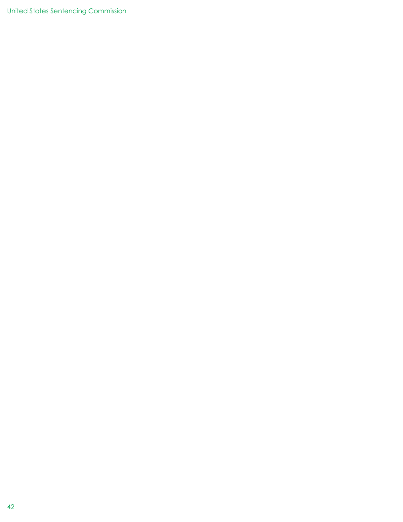United States Sentencing Commission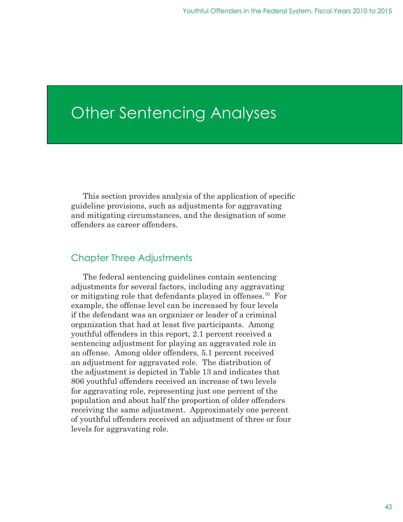# Other Sentencing Analyses

This section provides analysis of the application of specific guideline provisions, such as adjustments for aggravating and mitigating circumstances, and the designation of some offenders as career offenders.

### Chapter Three Adjustments

The federal sentencing guidelines contain sentencing adjustments for several factors, including any aggravating or mitigating role that defendants played in offenses.<sup>70</sup> For example, the offense level can be increased by four levels if the defendant was an organizer or leader of a criminal organization that had at least five participants. Among youthful offenders in this report, 2.1 percent received a sentencing adjustment for playing an aggravated role in an offense. Among older offenders, 5.1 percent received an adjustment for aggravated role. The distribution of the adjustment is depicted in Table 13 and indicates that 806 youthful offenders received an increase of two levels for aggravating role, representing just one percent of the population and about half the proportion of older offenders receiving the same adjustment. Approximately one percent of youthful offenders received an adjustment of three or four levels for aggravating role.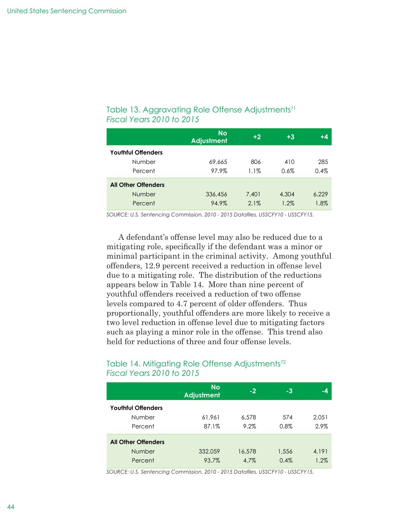|                            | <b>No</b><br><b>Adjustment</b> | $+2$  | $+3$    | +4    |
|----------------------------|--------------------------------|-------|---------|-------|
| <b>Youthful Offenders</b>  |                                |       |         |       |
| Number                     | 69,665                         | 806   | 410     | 285   |
| Percent                    | 97.9%                          | 1.1%  | 0.6%    | 0.4%  |
| <b>All Other Offenders</b> |                                |       |         |       |
| Number                     | 336,456                        | 7.401 | 4,304   | 6,229 |
| Percent                    | 94.9%                          | 2.1%  | $1.2\%$ | 1.8%  |

### Table 13. Aggravating Role Offense Adjustments<sup>71</sup> *Fiscal Years 2010 to 2015*

*SOURCE: U.S. Sentencing Commission, 2010 - 2015 Datafiles, USSCFY10 - USSCFY15.*

A defendant's offense level may also be reduced due to a mitigating role, specifically if the defendant was a minor or minimal participant in the criminal activity. Among youthful offenders, 12.9 percent received a reduction in offense level due to a mitigating role. The distribution of the reductions appears below in Table 14. More than nine percent of youthful offenders received a reduction of two offense levels compared to 4.7 percent of older offenders. Thus proportionally, youthful offenders are more likely to receive a two level reduction in offense level due to mitigating factors such as playing a minor role in the offense. This trend also held for reductions of three and four offense levels.

### Table 14. Mitigating Role Offense Adjustments<sup>72</sup> *Fiscal Years 2010 to 2015*

|                            | <b>No</b><br><b>Adjustment</b> | -2     | -3    | -4    |
|----------------------------|--------------------------------|--------|-------|-------|
| <b>Youthful Offenders</b>  |                                |        |       |       |
| Number                     | 61,961                         | 6,578  | 574   | 2,051 |
| Percent                    | 87.1%                          | 9.2%   | 0.8%  | 2.9%  |
| <b>All Other Offenders</b> |                                |        |       |       |
| Number                     | 332,059                        | 16,578 | 1,556 | 4,191 |
| Percent                    | 93.7%                          | 4.7%   | 0.4%  | 1.2%  |

*SOURCE: U.S. Sentencing Commission, 2010 - 2015 Datafiles, USSCFY10 - USSCFY15.*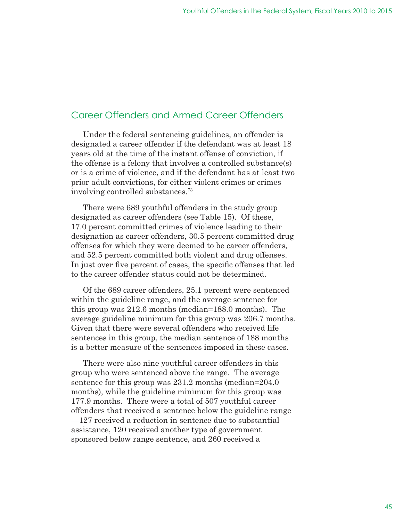## Career Offenders and Armed Career Offenders

Under the federal sentencing guidelines, an offender is designated a career offender if the defendant was at least 18 years old at the time of the instant offense of conviction, if the offense is a felony that involves a controlled substance(s) or is a crime of violence, and if the defendant has at least two prior adult convictions, for either violent crimes or crimes involving controlled substances.73

There were 689 youthful offenders in the study group designated as career offenders (see Table 15). Of these, 17.0 percent committed crimes of violence leading to their designation as career offenders, 30.5 percent committed drug offenses for which they were deemed to be career offenders, and 52.5 percent committed both violent and drug offenses. In just over five percent of cases, the specific offenses that led to the career offender status could not be determined.

Of the 689 career offenders, 25.1 percent were sentenced within the guideline range, and the average sentence for this group was 212.6 months (median=188.0 months). The average guideline minimum for this group was 206.7 months. Given that there were several offenders who received life sentences in this group, the median sentence of 188 months is a better measure of the sentences imposed in these cases.

There were also nine youthful career offenders in this group who were sentenced above the range. The average sentence for this group was 231.2 months (median=204.0 months), while the guideline minimum for this group was 177.9 months. There were a total of 507 youthful career offenders that received a sentence below the guideline range —127 received a reduction in sentence due to substantial assistance, 120 received another type of government sponsored below range sentence, and 260 received a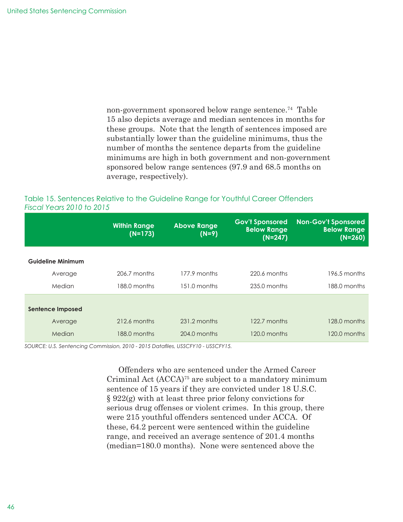non-government sponsored below range sentence.74 Table 15 also depicts average and median sentences in months for these groups. Note that the length of sentences imposed are substantially lower than the guideline minimums, thus the number of months the sentence departs from the guideline minimums are high in both government and non-government sponsored below range sentences (97.9 and 68.5 months on average, respectively).

#### Table 15. Sentences Relative to the Guideline Range for Youthful Career Offenders *Fiscal Years 2010 to 2015*

|                          | <b>Within Range</b><br>$(N=173)$ | <b>Above Range</b><br>$(N=9)$ | <b>Gov't Sponsored</b><br><b>Below Range</b><br>$(N=247)$ | <b>Non-Gov't Sponsored</b><br><b>Below Range</b><br>$(N=260)$ |
|--------------------------|----------------------------------|-------------------------------|-----------------------------------------------------------|---------------------------------------------------------------|
| <b>Guideline Minimum</b> |                                  |                               |                                                           |                                                               |
| Average                  | 206.7 months                     | 177.9 months                  | 220.6 months                                              | 196.5 months                                                  |
| Median                   | 188.0 months                     | 151.0 months                  | 235.0 months                                              | 188.0 months                                                  |
| <b>Sentence Imposed</b>  |                                  |                               |                                                           |                                                               |
| Average                  | 212.6 months                     | 231.2 months                  | 122.7 months                                              | 128.0 months                                                  |
| Median                   | 188.0 months                     | 204.0 months                  | 120.0 months                                              | 120.0 months                                                  |

*SOURCE: U.S. Sentencing Commission, 2010 - 2015 Datafiles, USSCFY10 - USSCFY15.*

Offenders who are sentenced under the Armed Career Criminal Act (ACCA)75 are subject to a mandatory minimum sentence of 15 years if they are convicted under 18 U.S.C. § 922(g) with at least three prior felony convictions for serious drug offenses or violent crimes. In this group, there were 215 youthful offenders sentenced under ACCA. Of these, 64.2 percent were sentenced within the guideline range, and received an average sentence of 201.4 months (median=180.0 months). None were sentenced above the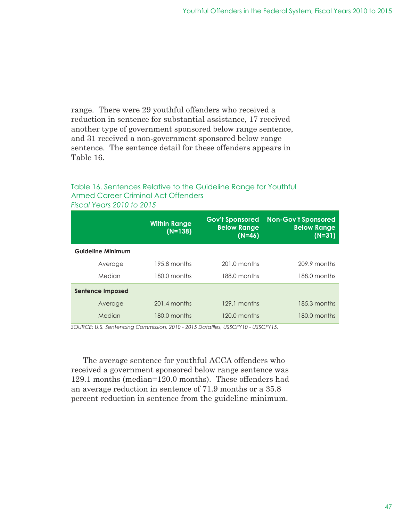range. There were 29 youthful offenders who received a reduction in sentence for substantial assistance, 17 received another type of government sponsored below range sentence, and 31 received a non-government sponsored below range sentence. The sentence detail for these offenders appears in Table 16.

#### Table 16. Sentences Relative to the Guideline Range for Youthful Armed Career Criminal Act Offenders *Fiscal Years 2010 to 2015*

|                          | <b>Within Range</b><br>$(N=138)$ | <b>Gov't Sponsored</b><br><b>Below Range</b><br>$(N=46)$ | <b>Non-Gov't Sponsored</b><br><b>Below Range</b><br>$(N=31)$ |
|--------------------------|----------------------------------|----------------------------------------------------------|--------------------------------------------------------------|
| <b>Guideline Minimum</b> |                                  |                                                          |                                                              |
| Average                  | 195.8 months                     | 201.0 months                                             | 209.9 months                                                 |
| Median                   | 180.0 months                     | 188.0 months                                             | 188.0 months                                                 |
| <b>Sentence Imposed</b>  |                                  |                                                          |                                                              |
| Average                  | 201.4 months                     | 129.1 months                                             | 185.3 months                                                 |
| Median                   | 180.0 months                     | 120.0 months                                             | 180.0 months                                                 |

*SOURCE: U.S. Sentencing Commission, 2010 - 2015 Datafiles, USSCFY10 - USSCFY15.*

The average sentence for youthful ACCA offenders who received a government sponsored below range sentence was 129.1 months (median=120.0 months). These offenders had an average reduction in sentence of 71.9 months or a 35.8 percent reduction in sentence from the guideline minimum.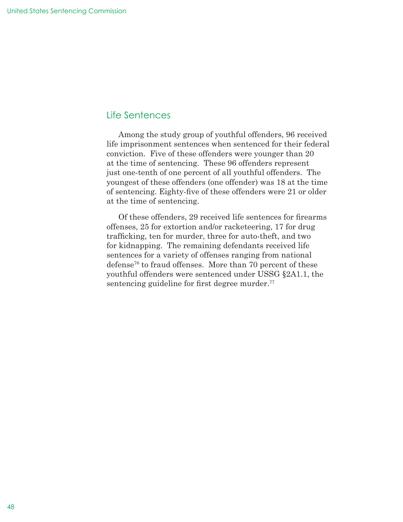### Life Sentences

Among the study group of youthful offenders, 96 received life imprisonment sentences when sentenced for their federal conviction. Five of these offenders were younger than 20 at the time of sentencing. These 96 offenders represent just one-tenth of one percent of all youthful offenders. The youngest of these offenders (one offender) was 18 at the time of sentencing. Eighty-five of these offenders were 21 or older at the time of sentencing.

Of these offenders, 29 received life sentences for firearms offenses, 25 for extortion and/or racketeering, 17 for drug trafficking, ten for murder, three for auto-theft, and two for kidnapping. The remaining defendants received life sentences for a variety of offenses ranging from national defense76 to fraud offenses. More than 70 percent of these youthful offenders were sentenced under USSG §2A1.1, the sentencing guideline for first degree murder.<sup>77</sup>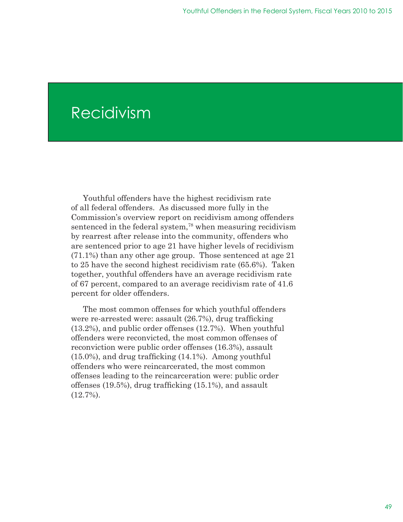# Recidivism

Youthful offenders have the highest recidivism rate of all federal offenders. As discussed more fully in the Commission's overview report on recidivism among offenders sentenced in the federal system,<sup>78</sup> when measuring recidivism by rearrest after release into the community, offenders who are sentenced prior to age 21 have higher levels of recidivism (71.1%) than any other age group. Those sentenced at age 21 to 25 have the second highest recidivism rate (65.6%). Taken together, youthful offenders have an average recidivism rate of 67 percent, compared to an average recidivism rate of 41.6 percent for older offenders.

The most common offenses for which youthful offenders were re-arrested were: assault (26.7%), drug trafficking (13.2%), and public order offenses (12.7%). When youthful offenders were reconvicted, the most common offenses of reconviction were public order offenses (16.3%), assault (15.0%), and drug trafficking (14.1%). Among youthful offenders who were reincarcerated, the most common offenses leading to the reincarceration were: public order offenses (19.5%), drug trafficking (15.1%), and assault (12.7%).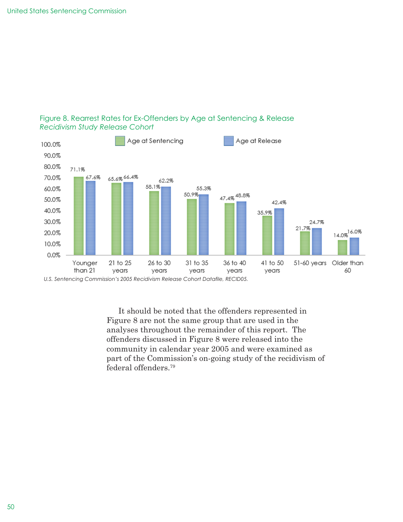

### Figure 8. Rearrest Rates for Ex-Offenders by Age at Sentencing & Release *Recidivism Study Release Cohort*

It should be noted that the offenders represented in Figure 8 are not the same group that are used in the analyses throughout the remainder of this report. The offenders discussed in Figure 8 were released into the community in calendar year 2005 and were examined as part of the Commission's on-going study of the recidivism of federal offenders.79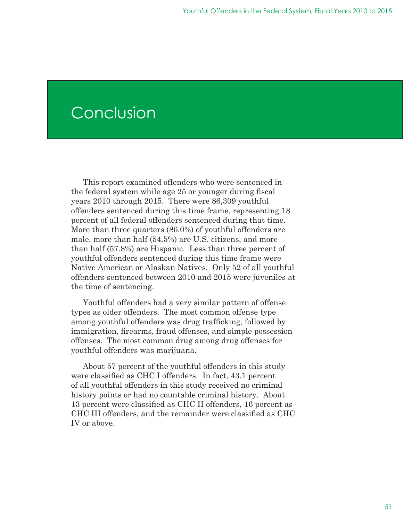# **Conclusion**

This report examined offenders who were sentenced in the federal system while age 25 or younger during fiscal years 2010 through 2015. There were 86,309 youthful offenders sentenced during this time frame, representing 18 percent of all federal offenders sentenced during that time. More than three quarters (86.0%) of youthful offenders are male, more than half (54.5%) are U.S. citizens, and more than half (57.8%) are Hispanic. Less than three percent of youthful offenders sentenced during this time frame were Native American or Alaskan Natives. Only 52 of all youthful offenders sentenced between 2010 and 2015 were juveniles at the time of sentencing.

Youthful offenders had a very similar pattern of offense types as older offenders. The most common offense type among youthful offenders was drug trafficking, followed by immigration, firearms, fraud offenses, and simple possession offenses. The most common drug among drug offenses for youthful offenders was marijuana.

About 57 percent of the youthful offenders in this study were classified as CHC I offenders. In fact, 43.1 percent of all youthful offenders in this study received no criminal history points or had no countable criminal history. About 13 percent were classified as CHC II offenders, 16 percent as CHC III offenders, and the remainder were classified as CHC IV or above.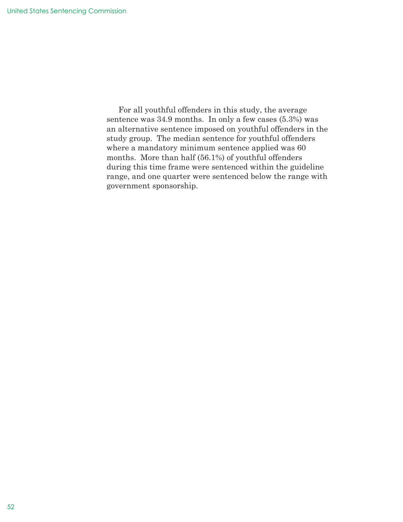For all youthful offenders in this study, the average sentence was 34.9 months. In only a few cases (5.3%) was an alternative sentence imposed on youthful offenders in the study group. The median sentence for youthful offenders where a mandatory minimum sentence applied was 60 months. More than half (56.1%) of youthful offenders during this time frame were sentenced within the guideline range, and one quarter were sentenced below the range with government sponsorship.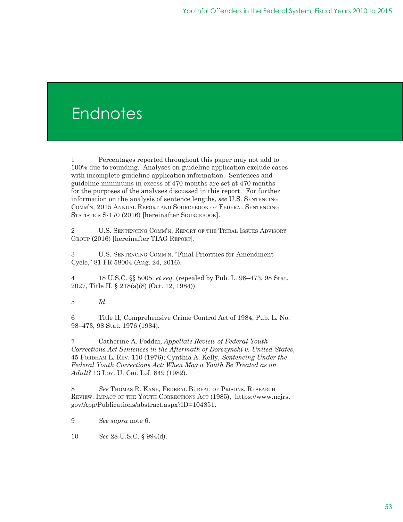# **Endnotes**

1 Percentages reported throughout this paper may not add to 100% due to rounding. Analyses on guideline application exclude cases with incomplete guideline application information. Sentences and guideline minimums in excess of 470 months are set at 470 months for the purposes of the analyses discussed in this report. For further information on the analysis of sentence lengths, *see* U.S. Sentencing Comm'n, 2015 Annual Report and Sourcebook of Federal Sentencing STATISTICS S-170 (2016) [hereinafter SOURCEBOOK].

2 U.S. SENTENCING COMM'N, REPORT OF THE TRIBAL ISSUES ADVISORY Group (2016) [hereinafter TIAG Report].

3 U.S. Sentencing Comm'n, "Final Priorities for Amendment Cycle," 81 FR 58004 (Aug. 24, 2016).

4 18 U.S.C. §§ 5005. *et seq.* (repealed by Pub. L. 98–473, 98 Stat. 2027, Title II, § 218(a)(8) (Oct. 12, 1984)).

5 *Id*.

6 Title II, Comprehensive Crime Control Act of 1984, Pub. L. No. 98–473, 98 Stat. 1976 (1984).

7 Catherine A. Foddai, *Appellate Review of Federal Youth Corrections Act Sentences in the Aftermath of Dorszynski v. United States*, 45 Fordham L. Rev. 110 (1976); Cynthia A. Kelly, *Sentencing Under the Federal Youth Corrections Act: When May a Youth Be Treated as an Adult?* 13 Loy. U. Chi. L.J. 849 (1982).

8 *See* Thomas R. Kane, Federal Bureau of Prisons, Research Review: Impact of the Youth Corrections Act (1985), https://www.ncjrs. gov/App/Publications/abstract.aspx?ID=104851.

9 *See supra* note 6.

10 *See* 28 U.S.C. § 994(d).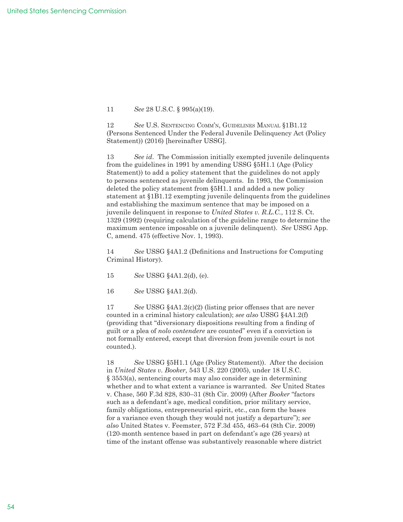11 *See* 28 U.S.C. § 995(a)(19).

12 *See* U.S. Sentencing Comm'n, Guidelines Manual §1B1.12 (Persons Sentenced Under the Federal Juvenile Delinquency Act (Policy Statement)) (2016) [hereinafter USSG].

13 *See id*. The Commission initially exempted juvenile delinquents from the guidelines in 1991 by amending USSG §5H1.1 (Age (Policy Statement)) to add a policy statement that the guidelines do not apply to persons sentenced as juvenile delinquents. In 1993, the Commission deleted the policy statement from §5H1.1 and added a new policy statement at §1B1.12 exempting juvenile delinquents from the guidelines and establishing the maximum sentence that may be imposed on a juvenile delinquent in response to *United States v. R.L.C.*, 112 S. Ct. 1329 (1992) (requiring calculation of the guideline range to determine the maximum sentence imposable on a juvenile delinquent). *See* USSG App. C, amend. 475 (effective Nov. 1, 1993).

14 *See* USSG §4A1.2 (Definitions and Instructions for Computing Criminal History).

15 *See* USSG §4A1.2(d), (e).

16 *See* USSG §4A1.2(d).

17 *See* USSG §4A1.2(c)(2) (listing prior offenses that are never counted in a criminal history calculation); *see also* USSG §4A1.2(f) (providing that "diversionary dispositions resulting from a finding of guilt or a plea of *nolo contendere* are counted" even if a conviction is not formally entered, except that diversion from juvenile court is not counted.).

18 *See* USSG §5H1.1 (Age (Policy Statement)). After the decision in *United States v. Booker,* 543 U.S. 220 (2005), under 18 U.S.C. § 3553(a), sentencing courts may also consider age in determining whether and to what extent a variance is warranted. *See* United States v. Chase, 560 F.3d 828, 830–31 (8th Cir. 2009) (After *Booker* "factors such as a defendant's age, medical condition, prior military service, family obligations, entrepreneurial spirit, etc., can form the bases for a variance even though they would not justify a departure"); *see also* United States v. Feemster, 572 F.3d 455, 463–64 (8th Cir. 2009) (120-month sentence based in part on defendant's age (26 years) at time of the instant offense was substantively reasonable where district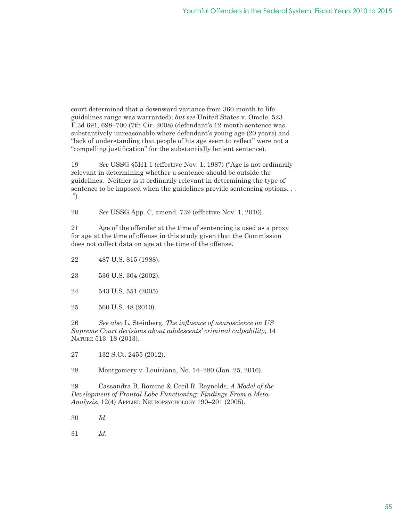court determined that a downward variance from 360-month to life guidelines range was warranted); *but see* United States v. Omole, 523 F.3d 691, 698–700 (7th Cir. 2008) (defendant's 12-month sentence was substantively unreasonable where defendant's young age (20 years) and "lack of understanding that people of his age seem to reflect" were not a "compelling justification" for the substantially lenient sentence).

19 *See* USSG §5H1.1 (effective Nov. 1, 1987) ("Age is not ordinarily relevant in determining whether a sentence should be outside the guidelines. Neither is it ordinarily relevant in determining the type of sentence to be imposed when the guidelines provide sentencing options. . . .").

20 *See* USSG App. C, amend. 739 (effective Nov. 1, 2010).

21 Age of the offender at the time of sentencing is used as a proxy for age at the time of offense in this study given that the Commission does not collect data on age at the time of the offense.

22 487 U.S. 815 (1988).

23 536 U.S. 304 (2002).

24 543 U.S. 551 (2005).

25 560 U.S. 48 (2010).

26 *See also* L. Steinberg, *The influence of neuroscience on US Supreme Court decisions about adolescents' criminal culpability,* 14 Nature 513–18 (2013).

27 132 S.Ct. 2455 (2012).

28 Montgomery v. Louisiana, No. 14–280 (Jan. 25, 2016).

29 Cassandra B. Romine & Cecil R. Reynolds, *A Model of the Development of Frontal Lobe Functioning: Findings From a Meta-Analysis*, 12(4) Applied Neuropsychology 190–201 (2005).

30 *Id*.

31 *Id.*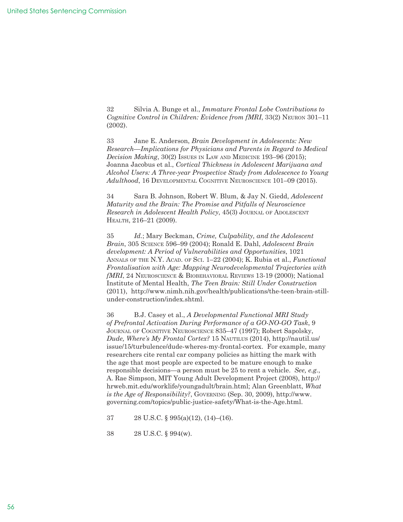32 Silvia A. Bunge et al., *Immature Frontal Lobe Contributions to Cognitive Control in Children: Evidence from fMRI*, 33(2) Neuron 301–11 (2002).

33 Jane E. Anderson, *Brain Development in Adolescents: New Research—Implications for Physicians and Parents in Regard to Medical Decision Making*, 30(2) ISSUES IN LAW AND MEDICINE 193–96 (2015); Joanna Jacobus et al., *Cortical Thickness in Adolescent Marijuana and Alcohol Users: A Three-year Prospective Study from Adolescence to Young Adulthood*, 16 Developmental Cognitive Neuroscience 101–09 (2015).

34 Sara B. Johnson, Robert W. Blum, & Jay N. Giedd, *Adolescent Maturity and the Brain: The Promise and Pitfalls of Neuroscience Research in Adolescent Health Policy*, 45(3) JOURNAL OF ADOLESCENT Health, 216–21 (2009).

35 *Id.*; Mary Beckman, *Crime, Culpability, and the Adolescent Brain*, 305 Science 596–99 (2004); Ronald E. Dahl, *Adolescent Brain development: A Period of Vulnerabilities and Opportunities*, 1021 ANNALS OF THE N.Y. ACAD. OF SCI. 1-22 (2004); K. Rubia et al., *Functional Frontalisation with Age: Mapping Neurodevelopmental Trajectories with fMRI*, 24 Neuroscience & Biobehavioral Reviews 13-19 (2000); National Institute of Mental Health, *The Teen Brain: Still Under Construction* (2011), http://www.nimh.nih.gov/health/publications/the-teen-brain-stillunder-construction/index.shtml.

36 B.J. Casey et al., *A Developmental Functional MRI Study of Prefrontal Activation During Performance of a GO-NO-GO Task*, 9 Journal of Cognitive Neuroscience 835–47 (1997); Robert Sapolsky, *Dude, Where's My Frontal Cortex?* 15 Nautilus (2014), http://nautil.us/ issue/15/turbulence/dude-wheres-my-frontal-cortex. For example, many researchers cite rental car company policies as hitting the mark with the age that most people are expected to be mature enough to make responsible decisions—a person must be 25 to rent a vehicle. *See, e.g.*, A. Rae Simpson, MIT Young Adult Development Project (2008), http:// hrweb.mit.edu/worklife/youngadult/brain.html; Alan Greenblatt, *What is the Age of Responsibility?*, Governing (Sep. 30, 2009), http://www. governing.com/topics/public-justice-safety/What-is-the-Age.html.

37 28 U.S.C. § 995(a)(12), (14)–(16).

38 28 U.S.C. § 994(w).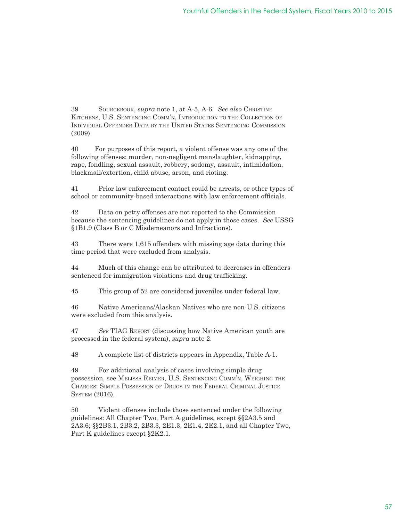39 Sourcebook, *supra* note 1, at A-5, A-6. *See also* Christine Kitchens, U.S. Sentencing Comm'n, Introduction to the Collection of Individual Offender Data by the United States Sentencing Commission (2009).

40 For purposes of this report, a violent offense was any one of the following offenses: murder, non-negligent manslaughter, kidnapping, rape, fondling, sexual assault, robbery, sodomy, assault, intimidation, blackmail/extortion, child abuse, arson, and rioting.

41 Prior law enforcement contact could be arrests, or other types of school or community-based interactions with law enforcement officials.

42 Data on petty offenses are not reported to the Commission because the sentencing guidelines do not apply in those cases. *See* USSG §1B1.9 (Class B or C Misdemeanors and Infractions).

43 There were 1,615 offenders with missing age data during this time period that were excluded from analysis.

44 Much of this change can be attributed to decreases in offenders sentenced for immigration violations and drug trafficking.

45 This group of 52 are considered juveniles under federal law.

46 Native Americans/Alaskan Natives who are non-U.S. citizens were excluded from this analysis.

47 *See* TIAG Report (discussing how Native American youth are processed in the federal system), *supra* note 2.

48 A complete list of districts appears in Appendix, Table A-1.

49 For additional analysis of cases involving simple drug possession, see Melissa Reimer, U.S. Sentencing Comm'n, Weighing the Charges: Simple Possession of Drugs in the Federal Criminal Justice **SYSTEM (2016).** 

50 Violent offenses include those sentenced under the following guidelines: All Chapter Two, Part A guidelines, except §§2A3.5 and 2A3.6; §§2B3.1, 2B3.2, 2B3.3, 2E1.3, 2E1.4, 2E2.1, and all Chapter Two, Part K guidelines except §2K2.1.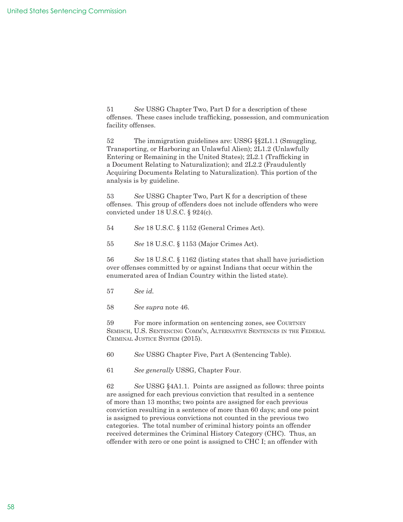51 *See* USSG Chapter Two, Part D for a description of these offenses. These cases include trafficking, possession, and communication facility offenses.

52 The immigration guidelines are: USSG §§2L1.1 (Smuggling, Transporting, or Harboring an Unlawful Alien); 2L1.2 (Unlawfully Entering or Remaining in the United States); 2L2.1 (Trafficking in a Document Relating to Naturalization); and 2L2.2 (Fraudulently Acquiring Documents Relating to Naturalization). This portion of the analysis is by guideline.

53 *See* USSG Chapter Two, Part K for a description of these offenses. This group of offenders does not include offenders who were convicted under 18 U.S.C. § 924(c).

54 *See* 18 U.S.C. § 1152 (General Crimes Act).

55 *See* 18 U.S.C. § 1153 (Major Crimes Act).

56 *See* 18 U.S.C. § 1162 (listing states that shall have jurisdiction over offenses committed by or against Indians that occur within the enumerated area of Indian Country within the listed state).

57 *See id.*

58 *See supra* note 46.

59 For more information on sentencing zones, see Courtney Semisch, U.S. Sentencing Comm'n, Alternative Sentences in the Federal Criminal Justice System (2015).

60 *See* USSG Chapter Five, Part A (Sentencing Table).

61 *See generally* USSG, Chapter Four.

62 *See* USSG §4A1.1. Points are assigned as follows: three points are assigned for each previous conviction that resulted in a sentence of more than 13 months; two points are assigned for each previous conviction resulting in a sentence of more than 60 days; and one point is assigned to previous convictions not counted in the previous two categories. The total number of criminal history points an offender received determines the Criminal History Category (CHC). Thus, an offender with zero or one point is assigned to CHC I; an offender with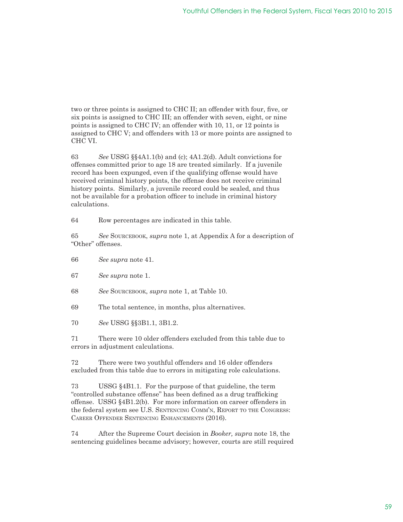two or three points is assigned to CHC II; an offender with four, five, or six points is assigned to CHC III; an offender with seven, eight, or nine points is assigned to CHC IV; an offender with 10, 11, or 12 points is assigned to CHC V; and offenders with 13 or more points are assigned to CHC VI.

63 *See* USSG §§4A1.1(b) and (c); 4A1.2(d). Adult convictions for offenses committed prior to age 18 are treated similarly. If a juvenile record has been expunged, even if the qualifying offense would have received criminal history points, the offense does not receive criminal history points. Similarly, a juvenile record could be sealed, and thus not be available for a probation officer to include in criminal history calculations.

64 Row percentages are indicated in this table.

65 *See* Sourcebook, *supra* note 1, at Appendix A for a description of "Other" offenses.

66 *See supra* note 41.

67 *See supra* note 1.

68 *See* Sourcebook, *supra* note 1, at Table 10.

69 The total sentence, in months, plus alternatives.

70 *See* USSG §§3B1.1, 3B1.2.

71 There were 10 older offenders excluded from this table due to errors in adjustment calculations.

72 There were two youthful offenders and 16 older offenders excluded from this table due to errors in mitigating role calculations.

73 USSG §4B1.1. For the purpose of that guideline, the term "controlled substance offense" has been defined as a drug trafficking offense. USSG §4B1.2(b). For more information on career offenders in the federal system see U.S. Sentencing Comm'n, Report to the Congress: Career Offender Sentencing Enhancements (2016).

74 After the Supreme Court decision in *Booker, supra* note 18, the sentencing guidelines became advisory; however, courts are still required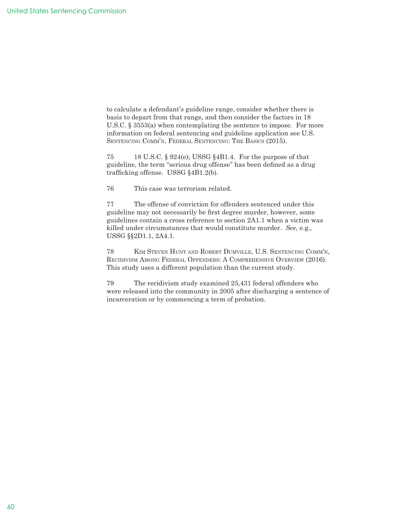to calculate a defendant's guideline range, consider whether there is basis to depart from that range, and then consider the factors in 18 U.S.C. § 3553(a) when contemplating the sentence to impose. For more information on federal sentencing and guideline application see U.S. Sentencing Comm'n, Federal Sentencing: The Basics (2015).

75 18 U.S.C. § 924(e); USSG §4B1.4. For the purpose of that guideline, the term "serious drug offense" has been defined as a drug trafficking offense. USSG §4B1.2(b).

76 This case was terrorism related.

77 The offense of conviction for offenders sentenced under this guideline may not necessarily be first degree murder, however, some guidelines contain a cross reference to section 2A1.1 when a victim was killed under circumstances that would constitute murder. *See,* e.g., USSG §§2D1.1, 2A4.1.

78 Kim Steven Hunt and Robert Dumville, U.S. Sentencing Comm'n, Recidivism Among Federal Offenders: A Comprehensive Overview (2016). This study uses a different population than the current study.

79 The recidivism study examined 25,431 federal offenders who were released into the community in 2005 after discharging a sentence of incarceration or by commencing a term of probation.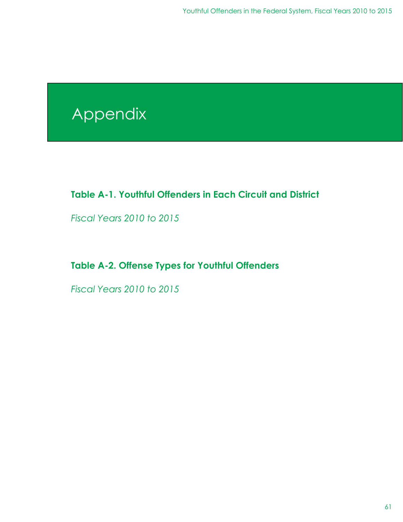# **Appendix**

# **Table A-1. Youthful Offenders in Each Circuit and District**

*Fiscal Years 2010 to 2015*

# **Table A-2. Offense Types for Youthful Offenders**

*Fiscal Years 2010 to 2015*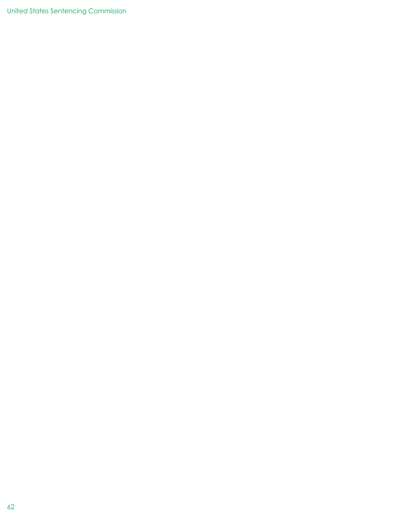United States Sentencing Commission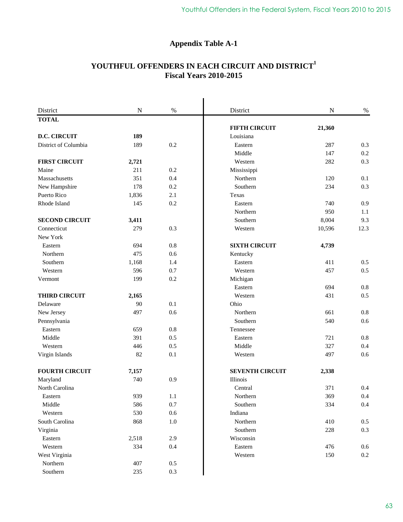## **Appendix Table A-1**

## **YOUTHFUL OFFENDERS IN EACH CIRCUIT AND DISTRICT<sup>1</sup> Fiscal Years 2010-2015**

| ${\bf N}$<br>$\%$<br>District<br>${\bf N}$<br>District<br>$\%$<br><b>TOTAL</b><br><b>FIFTH CIRCUIT</b><br>21,360<br><b>D.C. CIRCUIT</b><br>189<br>Louisiana<br>District of Columbia<br>0.2<br>0.3<br>189<br>Eastern<br>287<br>Middle<br>147<br>0.2<br>0.3<br>Western<br><b>FIRST CIRCUIT</b><br>2,721<br>282<br>Maine<br>0.2<br>211<br>Mississippi<br>0.4<br>Massachusetts<br>351<br>Northern<br>120<br>0.1<br>178<br>0.2<br>Southern<br>234<br>0.3<br>New Hampshire<br>Puerto Rico<br>Texas<br>1,836<br>2.1<br>Rhode Island<br>0.2<br>740<br>145<br>Eastern<br>0.9<br>950<br>Northern<br>1.1<br>9.3<br><b>SECOND CIRCUIT</b><br>8,004<br>3,411<br>Southern<br>279<br>0.3<br>Western<br>10,596<br>Connecticut<br>12.3<br>New York<br><b>SIXTH CIRCUIT</b><br>694<br>0.8<br>4,739<br>Eastern<br>475<br>Northern<br>0.6<br>Kentucky<br>0.5<br>Southern<br>1,168<br>1.4<br>Eastern<br>411<br>596<br>0.7<br>457<br>0.5<br>Western<br>Western<br>Vermont<br>199<br>0.2<br>Michigan<br>694<br>0.8<br>Eastern<br><b>THIRD CIRCUIT</b><br>Western<br>431<br>0.5<br>2,165<br>0.1<br>Ohio<br>Delaware<br>90<br>0.8<br>New Jersey<br>497<br>0.6<br>Northern<br>661<br>540<br>0.6<br>Pennsylvania<br>Southern<br>0.8<br>Eastern<br>659<br>Tennessee<br>Middle<br>391<br>0.8<br>0.5<br>Eastern<br>721<br>327<br>0.4<br>Western<br>446<br>0.5<br>Middle<br>0.6<br>Virgin Islands<br>82<br>0.1<br>Western<br>497<br><b>FOURTH CIRCUIT</b><br>7,157<br><b>SEVENTH CIRCUIT</b><br>2,338<br>Maryland<br>740<br>0.9<br>Illinois<br>North Carolina<br>371<br>0.4<br>Central<br>$1.1\,$<br>Northern<br>$0.4\,$<br>Eastern<br>939<br>369<br>Middle<br>586<br>0.7<br>Southern<br>334<br>$0.4\,$<br>Indiana<br>Western<br>530<br>$0.6\,$<br>Northern<br>South Carolina<br>868<br>$1.0\,$<br>410<br>$0.5\,$<br>Southern<br>228<br>0.3<br>Virginia<br>2.9<br>Wisconsin<br>Eastern<br>2,518<br>Eastern<br>Western<br>334<br>$0.4\,$<br>476<br>0.6<br>West Virginia<br>Western<br>150<br>$0.2\,$<br>407<br>Northern<br>$0.5\,$ |          |     |         |  |  |
|----------------------------------------------------------------------------------------------------------------------------------------------------------------------------------------------------------------------------------------------------------------------------------------------------------------------------------------------------------------------------------------------------------------------------------------------------------------------------------------------------------------------------------------------------------------------------------------------------------------------------------------------------------------------------------------------------------------------------------------------------------------------------------------------------------------------------------------------------------------------------------------------------------------------------------------------------------------------------------------------------------------------------------------------------------------------------------------------------------------------------------------------------------------------------------------------------------------------------------------------------------------------------------------------------------------------------------------------------------------------------------------------------------------------------------------------------------------------------------------------------------------------------------------------------------------------------------------------------------------------------------------------------------------------------------------------------------------------------------------------------------------------------------------------------------------------------------------------------------------------------------------------------------------------------------------------------------------------------------------------------|----------|-----|---------|--|--|
|                                                                                                                                                                                                                                                                                                                                                                                                                                                                                                                                                                                                                                                                                                                                                                                                                                                                                                                                                                                                                                                                                                                                                                                                                                                                                                                                                                                                                                                                                                                                                                                                                                                                                                                                                                                                                                                                                                                                                                                                    |          |     |         |  |  |
|                                                                                                                                                                                                                                                                                                                                                                                                                                                                                                                                                                                                                                                                                                                                                                                                                                                                                                                                                                                                                                                                                                                                                                                                                                                                                                                                                                                                                                                                                                                                                                                                                                                                                                                                                                                                                                                                                                                                                                                                    |          |     |         |  |  |
|                                                                                                                                                                                                                                                                                                                                                                                                                                                                                                                                                                                                                                                                                                                                                                                                                                                                                                                                                                                                                                                                                                                                                                                                                                                                                                                                                                                                                                                                                                                                                                                                                                                                                                                                                                                                                                                                                                                                                                                                    |          |     |         |  |  |
|                                                                                                                                                                                                                                                                                                                                                                                                                                                                                                                                                                                                                                                                                                                                                                                                                                                                                                                                                                                                                                                                                                                                                                                                                                                                                                                                                                                                                                                                                                                                                                                                                                                                                                                                                                                                                                                                                                                                                                                                    |          |     |         |  |  |
|                                                                                                                                                                                                                                                                                                                                                                                                                                                                                                                                                                                                                                                                                                                                                                                                                                                                                                                                                                                                                                                                                                                                                                                                                                                                                                                                                                                                                                                                                                                                                                                                                                                                                                                                                                                                                                                                                                                                                                                                    |          |     |         |  |  |
|                                                                                                                                                                                                                                                                                                                                                                                                                                                                                                                                                                                                                                                                                                                                                                                                                                                                                                                                                                                                                                                                                                                                                                                                                                                                                                                                                                                                                                                                                                                                                                                                                                                                                                                                                                                                                                                                                                                                                                                                    |          |     |         |  |  |
|                                                                                                                                                                                                                                                                                                                                                                                                                                                                                                                                                                                                                                                                                                                                                                                                                                                                                                                                                                                                                                                                                                                                                                                                                                                                                                                                                                                                                                                                                                                                                                                                                                                                                                                                                                                                                                                                                                                                                                                                    |          |     |         |  |  |
|                                                                                                                                                                                                                                                                                                                                                                                                                                                                                                                                                                                                                                                                                                                                                                                                                                                                                                                                                                                                                                                                                                                                                                                                                                                                                                                                                                                                                                                                                                                                                                                                                                                                                                                                                                                                                                                                                                                                                                                                    |          |     |         |  |  |
|                                                                                                                                                                                                                                                                                                                                                                                                                                                                                                                                                                                                                                                                                                                                                                                                                                                                                                                                                                                                                                                                                                                                                                                                                                                                                                                                                                                                                                                                                                                                                                                                                                                                                                                                                                                                                                                                                                                                                                                                    |          |     |         |  |  |
|                                                                                                                                                                                                                                                                                                                                                                                                                                                                                                                                                                                                                                                                                                                                                                                                                                                                                                                                                                                                                                                                                                                                                                                                                                                                                                                                                                                                                                                                                                                                                                                                                                                                                                                                                                                                                                                                                                                                                                                                    |          |     |         |  |  |
|                                                                                                                                                                                                                                                                                                                                                                                                                                                                                                                                                                                                                                                                                                                                                                                                                                                                                                                                                                                                                                                                                                                                                                                                                                                                                                                                                                                                                                                                                                                                                                                                                                                                                                                                                                                                                                                                                                                                                                                                    |          |     |         |  |  |
|                                                                                                                                                                                                                                                                                                                                                                                                                                                                                                                                                                                                                                                                                                                                                                                                                                                                                                                                                                                                                                                                                                                                                                                                                                                                                                                                                                                                                                                                                                                                                                                                                                                                                                                                                                                                                                                                                                                                                                                                    |          |     |         |  |  |
|                                                                                                                                                                                                                                                                                                                                                                                                                                                                                                                                                                                                                                                                                                                                                                                                                                                                                                                                                                                                                                                                                                                                                                                                                                                                                                                                                                                                                                                                                                                                                                                                                                                                                                                                                                                                                                                                                                                                                                                                    |          |     |         |  |  |
|                                                                                                                                                                                                                                                                                                                                                                                                                                                                                                                                                                                                                                                                                                                                                                                                                                                                                                                                                                                                                                                                                                                                                                                                                                                                                                                                                                                                                                                                                                                                                                                                                                                                                                                                                                                                                                                                                                                                                                                                    |          |     |         |  |  |
|                                                                                                                                                                                                                                                                                                                                                                                                                                                                                                                                                                                                                                                                                                                                                                                                                                                                                                                                                                                                                                                                                                                                                                                                                                                                                                                                                                                                                                                                                                                                                                                                                                                                                                                                                                                                                                                                                                                                                                                                    |          |     |         |  |  |
|                                                                                                                                                                                                                                                                                                                                                                                                                                                                                                                                                                                                                                                                                                                                                                                                                                                                                                                                                                                                                                                                                                                                                                                                                                                                                                                                                                                                                                                                                                                                                                                                                                                                                                                                                                                                                                                                                                                                                                                                    |          |     |         |  |  |
|                                                                                                                                                                                                                                                                                                                                                                                                                                                                                                                                                                                                                                                                                                                                                                                                                                                                                                                                                                                                                                                                                                                                                                                                                                                                                                                                                                                                                                                                                                                                                                                                                                                                                                                                                                                                                                                                                                                                                                                                    |          |     |         |  |  |
|                                                                                                                                                                                                                                                                                                                                                                                                                                                                                                                                                                                                                                                                                                                                                                                                                                                                                                                                                                                                                                                                                                                                                                                                                                                                                                                                                                                                                                                                                                                                                                                                                                                                                                                                                                                                                                                                                                                                                                                                    |          |     |         |  |  |
|                                                                                                                                                                                                                                                                                                                                                                                                                                                                                                                                                                                                                                                                                                                                                                                                                                                                                                                                                                                                                                                                                                                                                                                                                                                                                                                                                                                                                                                                                                                                                                                                                                                                                                                                                                                                                                                                                                                                                                                                    |          |     |         |  |  |
|                                                                                                                                                                                                                                                                                                                                                                                                                                                                                                                                                                                                                                                                                                                                                                                                                                                                                                                                                                                                                                                                                                                                                                                                                                                                                                                                                                                                                                                                                                                                                                                                                                                                                                                                                                                                                                                                                                                                                                                                    |          |     |         |  |  |
|                                                                                                                                                                                                                                                                                                                                                                                                                                                                                                                                                                                                                                                                                                                                                                                                                                                                                                                                                                                                                                                                                                                                                                                                                                                                                                                                                                                                                                                                                                                                                                                                                                                                                                                                                                                                                                                                                                                                                                                                    |          |     |         |  |  |
|                                                                                                                                                                                                                                                                                                                                                                                                                                                                                                                                                                                                                                                                                                                                                                                                                                                                                                                                                                                                                                                                                                                                                                                                                                                                                                                                                                                                                                                                                                                                                                                                                                                                                                                                                                                                                                                                                                                                                                                                    |          |     |         |  |  |
|                                                                                                                                                                                                                                                                                                                                                                                                                                                                                                                                                                                                                                                                                                                                                                                                                                                                                                                                                                                                                                                                                                                                                                                                                                                                                                                                                                                                                                                                                                                                                                                                                                                                                                                                                                                                                                                                                                                                                                                                    |          |     |         |  |  |
|                                                                                                                                                                                                                                                                                                                                                                                                                                                                                                                                                                                                                                                                                                                                                                                                                                                                                                                                                                                                                                                                                                                                                                                                                                                                                                                                                                                                                                                                                                                                                                                                                                                                                                                                                                                                                                                                                                                                                                                                    |          |     |         |  |  |
|                                                                                                                                                                                                                                                                                                                                                                                                                                                                                                                                                                                                                                                                                                                                                                                                                                                                                                                                                                                                                                                                                                                                                                                                                                                                                                                                                                                                                                                                                                                                                                                                                                                                                                                                                                                                                                                                                                                                                                                                    |          |     |         |  |  |
|                                                                                                                                                                                                                                                                                                                                                                                                                                                                                                                                                                                                                                                                                                                                                                                                                                                                                                                                                                                                                                                                                                                                                                                                                                                                                                                                                                                                                                                                                                                                                                                                                                                                                                                                                                                                                                                                                                                                                                                                    |          |     |         |  |  |
|                                                                                                                                                                                                                                                                                                                                                                                                                                                                                                                                                                                                                                                                                                                                                                                                                                                                                                                                                                                                                                                                                                                                                                                                                                                                                                                                                                                                                                                                                                                                                                                                                                                                                                                                                                                                                                                                                                                                                                                                    |          |     |         |  |  |
|                                                                                                                                                                                                                                                                                                                                                                                                                                                                                                                                                                                                                                                                                                                                                                                                                                                                                                                                                                                                                                                                                                                                                                                                                                                                                                                                                                                                                                                                                                                                                                                                                                                                                                                                                                                                                                                                                                                                                                                                    |          |     |         |  |  |
|                                                                                                                                                                                                                                                                                                                                                                                                                                                                                                                                                                                                                                                                                                                                                                                                                                                                                                                                                                                                                                                                                                                                                                                                                                                                                                                                                                                                                                                                                                                                                                                                                                                                                                                                                                                                                                                                                                                                                                                                    |          |     |         |  |  |
|                                                                                                                                                                                                                                                                                                                                                                                                                                                                                                                                                                                                                                                                                                                                                                                                                                                                                                                                                                                                                                                                                                                                                                                                                                                                                                                                                                                                                                                                                                                                                                                                                                                                                                                                                                                                                                                                                                                                                                                                    |          |     |         |  |  |
|                                                                                                                                                                                                                                                                                                                                                                                                                                                                                                                                                                                                                                                                                                                                                                                                                                                                                                                                                                                                                                                                                                                                                                                                                                                                                                                                                                                                                                                                                                                                                                                                                                                                                                                                                                                                                                                                                                                                                                                                    |          |     |         |  |  |
|                                                                                                                                                                                                                                                                                                                                                                                                                                                                                                                                                                                                                                                                                                                                                                                                                                                                                                                                                                                                                                                                                                                                                                                                                                                                                                                                                                                                                                                                                                                                                                                                                                                                                                                                                                                                                                                                                                                                                                                                    |          |     |         |  |  |
|                                                                                                                                                                                                                                                                                                                                                                                                                                                                                                                                                                                                                                                                                                                                                                                                                                                                                                                                                                                                                                                                                                                                                                                                                                                                                                                                                                                                                                                                                                                                                                                                                                                                                                                                                                                                                                                                                                                                                                                                    |          |     |         |  |  |
|                                                                                                                                                                                                                                                                                                                                                                                                                                                                                                                                                                                                                                                                                                                                                                                                                                                                                                                                                                                                                                                                                                                                                                                                                                                                                                                                                                                                                                                                                                                                                                                                                                                                                                                                                                                                                                                                                                                                                                                                    |          |     |         |  |  |
|                                                                                                                                                                                                                                                                                                                                                                                                                                                                                                                                                                                                                                                                                                                                                                                                                                                                                                                                                                                                                                                                                                                                                                                                                                                                                                                                                                                                                                                                                                                                                                                                                                                                                                                                                                                                                                                                                                                                                                                                    |          |     |         |  |  |
|                                                                                                                                                                                                                                                                                                                                                                                                                                                                                                                                                                                                                                                                                                                                                                                                                                                                                                                                                                                                                                                                                                                                                                                                                                                                                                                                                                                                                                                                                                                                                                                                                                                                                                                                                                                                                                                                                                                                                                                                    |          |     |         |  |  |
|                                                                                                                                                                                                                                                                                                                                                                                                                                                                                                                                                                                                                                                                                                                                                                                                                                                                                                                                                                                                                                                                                                                                                                                                                                                                                                                                                                                                                                                                                                                                                                                                                                                                                                                                                                                                                                                                                                                                                                                                    |          |     |         |  |  |
|                                                                                                                                                                                                                                                                                                                                                                                                                                                                                                                                                                                                                                                                                                                                                                                                                                                                                                                                                                                                                                                                                                                                                                                                                                                                                                                                                                                                                                                                                                                                                                                                                                                                                                                                                                                                                                                                                                                                                                                                    |          |     |         |  |  |
|                                                                                                                                                                                                                                                                                                                                                                                                                                                                                                                                                                                                                                                                                                                                                                                                                                                                                                                                                                                                                                                                                                                                                                                                                                                                                                                                                                                                                                                                                                                                                                                                                                                                                                                                                                                                                                                                                                                                                                                                    |          |     |         |  |  |
|                                                                                                                                                                                                                                                                                                                                                                                                                                                                                                                                                                                                                                                                                                                                                                                                                                                                                                                                                                                                                                                                                                                                                                                                                                                                                                                                                                                                                                                                                                                                                                                                                                                                                                                                                                                                                                                                                                                                                                                                    |          |     |         |  |  |
|                                                                                                                                                                                                                                                                                                                                                                                                                                                                                                                                                                                                                                                                                                                                                                                                                                                                                                                                                                                                                                                                                                                                                                                                                                                                                                                                                                                                                                                                                                                                                                                                                                                                                                                                                                                                                                                                                                                                                                                                    |          |     |         |  |  |
|                                                                                                                                                                                                                                                                                                                                                                                                                                                                                                                                                                                                                                                                                                                                                                                                                                                                                                                                                                                                                                                                                                                                                                                                                                                                                                                                                                                                                                                                                                                                                                                                                                                                                                                                                                                                                                                                                                                                                                                                    |          |     |         |  |  |
|                                                                                                                                                                                                                                                                                                                                                                                                                                                                                                                                                                                                                                                                                                                                                                                                                                                                                                                                                                                                                                                                                                                                                                                                                                                                                                                                                                                                                                                                                                                                                                                                                                                                                                                                                                                                                                                                                                                                                                                                    | Southern | 235 | $0.3\,$ |  |  |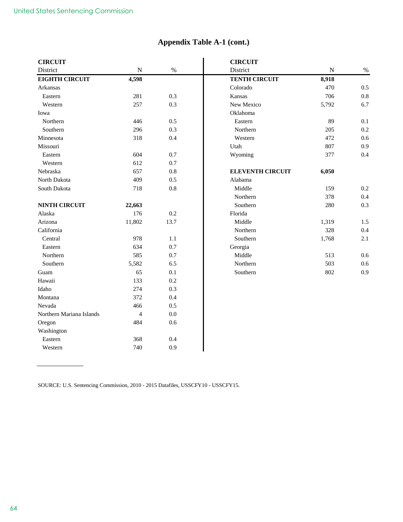# **Appendix Table A-1 (cont.)**

| <b>CIRCUIT</b>           |                          |      | <b>CIRCUIT</b>          |           |      |
|--------------------------|--------------------------|------|-------------------------|-----------|------|
| District                 | $\mathbf N$              | $\%$ | District                | ${\bf N}$ | $\%$ |
| <b>EIGHTH CIRCUIT</b>    | 4,598                    |      | <b>TENTH CIRCUIT</b>    | 8,918     |      |
| Arkansas                 |                          |      | Colorado                | 470       | 0.5  |
| Eastern                  | 281                      | 0.3  | Kansas                  | 706       | 0.8  |
| Western                  | 257                      | 0.3  | New Mexico              | 5,792     | 6.7  |
| Iowa                     |                          |      | Oklahoma                |           |      |
| Northern                 | 446                      | 0.5  | Eastern                 | 89        | 0.1  |
| Southern                 | 296                      | 0.3  | Northern                | 205       | 0.2  |
| Minnesota                | 318                      | 0.4  | Western                 | 472       | 0.6  |
| Missouri                 |                          |      | Utah                    | 807       | 0.9  |
| Eastern                  | 604                      | 0.7  | Wyoming                 | 377       | 0.4  |
| Western                  | 612                      | 0.7  |                         |           |      |
| Nebraska                 | 657                      | 0.8  | <b>ELEVENTH CIRCUIT</b> | 6,050     |      |
| North Dakota             | 409                      | 0.5  | Alabama                 |           |      |
| South Dakota             | 718                      | 0.8  | Middle                  | 159       | 0.2  |
|                          |                          |      | Northern                | 378       | 0.4  |
| <b>NINTH CIRCUIT</b>     | 22,663                   |      | Southern                | 280       | 0.3  |
| Alaska                   | 176                      | 0.2  | Florida                 |           |      |
| Arizona                  | 11,802                   | 13.7 | Middle                  | 1,319     | 1.5  |
| California               |                          |      | Northern                | 328       | 0.4  |
| Central                  | 978                      | 1.1  | Southern                | 1,768     | 2.1  |
| Eastern                  | 634                      | 0.7  | Georgia                 |           |      |
| Northern                 | 585                      | 0.7  | Middle                  | 513       | 0.6  |
| Southern                 | 5,582                    | 6.5  | Northern                | 503       | 0.6  |
| Guam                     | 65                       | 0.1  | Southern                | 802       | 0.9  |
| Hawaii                   | 133                      | 0.2  |                         |           |      |
| Idaho                    | 274                      | 0.3  |                         |           |      |
| Montana                  | 372                      | 0.4  |                         |           |      |
| Nevada                   | 466                      | 0.5  |                         |           |      |
| Northern Mariana Islands | $\overline{\mathcal{L}}$ | 0.0  |                         |           |      |
| Oregon                   | 484                      | 0.6  |                         |           |      |
| Washington               |                          |      |                         |           |      |
| Eastern                  | 368                      | 0.4  |                         |           |      |
| Western                  | 740                      | 0.9  |                         |           |      |

SOURCE: U.S. Sentencing Commission, 2010 - 2015 Datafiles, USSCFY10 - USSCFY15.